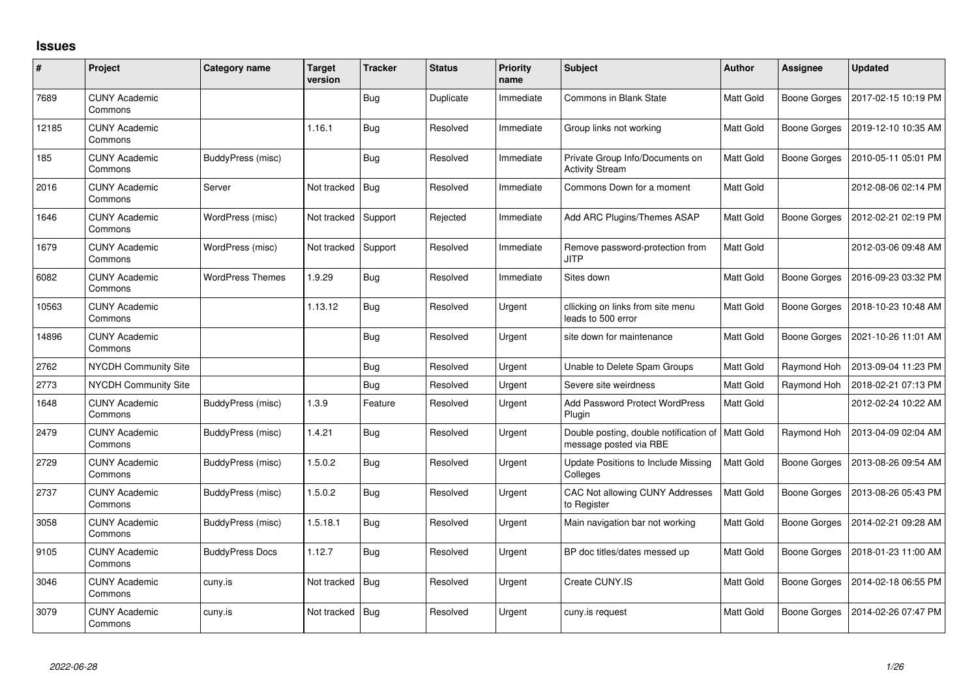## **Issues**

| #     | Project                         | <b>Category name</b>    | <b>Target</b><br>version | <b>Tracker</b> | <b>Status</b> | <b>Priority</b><br>name | <b>Subject</b>                                                               | <b>Author</b>    | <b>Assignee</b>     | <b>Updated</b>      |
|-------|---------------------------------|-------------------------|--------------------------|----------------|---------------|-------------------------|------------------------------------------------------------------------------|------------------|---------------------|---------------------|
| 7689  | <b>CUNY Academic</b><br>Commons |                         |                          | Bug            | Duplicate     | Immediate               | <b>Commons in Blank State</b>                                                | Matt Gold        | <b>Boone Gorges</b> | 2017-02-15 10:19 PM |
| 12185 | <b>CUNY Academic</b><br>Commons |                         | 1.16.1                   | <b>Bug</b>     | Resolved      | Immediate               | Group links not working                                                      | Matt Gold        | Boone Gorges        | 2019-12-10 10:35 AM |
| 185   | <b>CUNY Academic</b><br>Commons | BuddyPress (misc)       |                          | <b>Bug</b>     | Resolved      | Immediate               | Private Group Info/Documents on<br><b>Activity Stream</b>                    | Matt Gold        | Boone Gorges        | 2010-05-11 05:01 PM |
| 2016  | <b>CUNY Academic</b><br>Commons | Server                  | Not tracked              | Bug            | Resolved      | Immediate               | Commons Down for a moment                                                    | <b>Matt Gold</b> |                     | 2012-08-06 02:14 PM |
| 1646  | <b>CUNY Academic</b><br>Commons | WordPress (misc)        | Not tracked              | Support        | Rejected      | Immediate               | Add ARC Plugins/Themes ASAP                                                  | <b>Matt Gold</b> | Boone Gorges        | 2012-02-21 02:19 PM |
| 1679  | <b>CUNY Academic</b><br>Commons | WordPress (misc)        | Not tracked              | Support        | Resolved      | Immediate               | Remove password-protection from<br><b>JITP</b>                               | Matt Gold        |                     | 2012-03-06 09:48 AM |
| 6082  | <b>CUNY Academic</b><br>Commons | <b>WordPress Themes</b> | 1.9.29                   | Bug            | Resolved      | Immediate               | Sites down                                                                   | <b>Matt Gold</b> | <b>Boone Gorges</b> | 2016-09-23 03:32 PM |
| 10563 | <b>CUNY Academic</b><br>Commons |                         | 1.13.12                  | <b>Bug</b>     | Resolved      | Urgent                  | cllicking on links from site menu<br>leads to 500 error                      | Matt Gold        | <b>Boone Gorges</b> | 2018-10-23 10:48 AM |
| 14896 | <b>CUNY Academic</b><br>Commons |                         |                          | <b>Bug</b>     | Resolved      | Urgent                  | site down for maintenance                                                    | Matt Gold        | <b>Boone Gorges</b> | 2021-10-26 11:01 AM |
| 2762  | <b>NYCDH Community Site</b>     |                         |                          | Bug            | Resolved      | Urgent                  | Unable to Delete Spam Groups                                                 | Matt Gold        | Raymond Hoh         | 2013-09-04 11:23 PM |
| 2773  | NYCDH Community Site            |                         |                          | <b>Bug</b>     | Resolved      | Urgent                  | Severe site weirdness                                                        | Matt Gold        | Raymond Hoh         | 2018-02-21 07:13 PM |
| 1648  | <b>CUNY Academic</b><br>Commons | BuddyPress (misc)       | 1.3.9                    | Feature        | Resolved      | Urgent                  | <b>Add Password Protect WordPress</b><br>Plugin                              | Matt Gold        |                     | 2012-02-24 10:22 AM |
| 2479  | <b>CUNY Academic</b><br>Commons | BuddyPress (misc)       | 1.4.21                   | <b>Bug</b>     | Resolved      | Urgent                  | Double posting, double notification of   Matt Gold<br>message posted via RBE |                  | Raymond Hoh         | 2013-04-09 02:04 AM |
| 2729  | <b>CUNY Academic</b><br>Commons | BuddyPress (misc)       | 1.5.0.2                  | <b>Bug</b>     | Resolved      | Urgent                  | Update Positions to Include Missing<br>Colleges                              | Matt Gold        | <b>Boone Gorges</b> | 2013-08-26 09:54 AM |
| 2737  | <b>CUNY Academic</b><br>Commons | BuddyPress (misc)       | 1.5.0.2                  | Bug            | Resolved      | Urgent                  | CAC Not allowing CUNY Addresses<br>to Register                               | <b>Matt Gold</b> | <b>Boone Gorges</b> | 2013-08-26 05:43 PM |
| 3058  | <b>CUNY Academic</b><br>Commons | BuddyPress (misc)       | 1.5.18.1                 | Bug            | Resolved      | Urgent                  | Main navigation bar not working                                              | Matt Gold        | <b>Boone Gorges</b> | 2014-02-21 09:28 AM |
| 9105  | <b>CUNY Academic</b><br>Commons | <b>BuddyPress Docs</b>  | 1.12.7                   | <b>Bug</b>     | Resolved      | Urgent                  | BP doc titles/dates messed up                                                | Matt Gold        | <b>Boone Gorges</b> | 2018-01-23 11:00 AM |
| 3046  | <b>CUNY Academic</b><br>Commons | cuny.is                 | Not tracked              | $ $ Bug        | Resolved      | Urgent                  | Create CUNY.IS                                                               | Matt Gold        | Boone Gorges        | 2014-02-18 06:55 PM |
| 3079  | <b>CUNY Academic</b><br>Commons | cuny.is                 | Not tracked              | Bug            | Resolved      | Urgent                  | cuny.is request                                                              | Matt Gold        | Boone Gorges        | 2014-02-26 07:47 PM |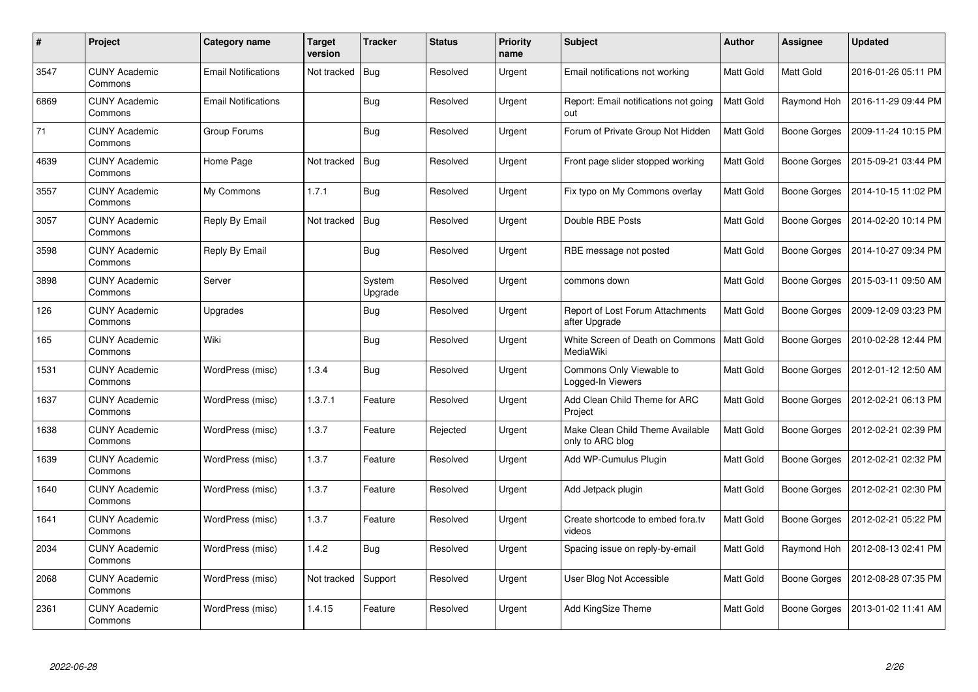| #    | Project                         | Category name              | <b>Target</b><br>version | <b>Tracker</b>    | <b>Status</b> | <b>Priority</b><br>name | <b>Subject</b>                                       | <b>Author</b>    | <b>Assignee</b>     | <b>Updated</b>      |
|------|---------------------------------|----------------------------|--------------------------|-------------------|---------------|-------------------------|------------------------------------------------------|------------------|---------------------|---------------------|
| 3547 | <b>CUNY Academic</b><br>Commons | <b>Email Notifications</b> | Not tracked              | Bug               | Resolved      | Urgent                  | Email notifications not working                      | <b>Matt Gold</b> | Matt Gold           | 2016-01-26 05:11 PM |
| 6869 | <b>CUNY Academic</b><br>Commons | <b>Email Notifications</b> |                          | Bug               | Resolved      | Urgent                  | Report: Email notifications not going<br>out         | Matt Gold        | Raymond Hoh         | 2016-11-29 09:44 PM |
| 71   | <b>CUNY Academic</b><br>Commons | Group Forums               |                          | <b>Bug</b>        | Resolved      | Urgent                  | Forum of Private Group Not Hidden                    | Matt Gold        | <b>Boone Gorges</b> | 2009-11-24 10:15 PM |
| 4639 | <b>CUNY Academic</b><br>Commons | Home Page                  | Not tracked              | Bug               | Resolved      | Urgent                  | Front page slider stopped working                    | Matt Gold        | Boone Gorges        | 2015-09-21 03:44 PM |
| 3557 | <b>CUNY Academic</b><br>Commons | My Commons                 | 1.7.1                    | Bug               | Resolved      | Urgent                  | Fix typo on My Commons overlay                       | Matt Gold        | Boone Gorges        | 2014-10-15 11:02 PM |
| 3057 | <b>CUNY Academic</b><br>Commons | Reply By Email             | Not tracked              | Bug               | Resolved      | Urgent                  | Double RBE Posts                                     | Matt Gold        | Boone Gorges        | 2014-02-20 10:14 PM |
| 3598 | <b>CUNY Academic</b><br>Commons | Reply By Email             |                          | <b>Bug</b>        | Resolved      | Urgent                  | RBE message not posted                               | Matt Gold        | Boone Gorges        | 2014-10-27 09:34 PM |
| 3898 | <b>CUNY Academic</b><br>Commons | Server                     |                          | System<br>Upgrade | Resolved      | Urgent                  | commons down                                         | Matt Gold        | Boone Gorges        | 2015-03-11 09:50 AM |
| 126  | <b>CUNY Academic</b><br>Commons | Upgrades                   |                          | <b>Bug</b>        | Resolved      | Urgent                  | Report of Lost Forum Attachments<br>after Upgrade    | Matt Gold        | Boone Gorges        | 2009-12-09 03:23 PM |
| 165  | <b>CUNY Academic</b><br>Commons | Wiki                       |                          | Bug               | Resolved      | Urgent                  | White Screen of Death on Commons<br>MediaWiki        | <b>Matt Gold</b> | <b>Boone Gorges</b> | 2010-02-28 12:44 PM |
| 1531 | <b>CUNY Academic</b><br>Commons | WordPress (misc)           | 1.3.4                    | <b>Bug</b>        | Resolved      | Urgent                  | Commons Only Viewable to<br>Logged-In Viewers        | Matt Gold        | Boone Gorges        | 2012-01-12 12:50 AM |
| 1637 | <b>CUNY Academic</b><br>Commons | WordPress (misc)           | 1.3.7.1                  | Feature           | Resolved      | Urgent                  | Add Clean Child Theme for ARC<br>Project             | Matt Gold        | Boone Gorges        | 2012-02-21 06:13 PM |
| 1638 | <b>CUNY Academic</b><br>Commons | WordPress (misc)           | 1.3.7                    | Feature           | Rejected      | Urgent                  | Make Clean Child Theme Available<br>only to ARC blog | Matt Gold        | <b>Boone Gorges</b> | 2012-02-21 02:39 PM |
| 1639 | <b>CUNY Academic</b><br>Commons | WordPress (misc)           | 1.3.7                    | Feature           | Resolved      | Urgent                  | Add WP-Cumulus Plugin                                | Matt Gold        | Boone Gorges        | 2012-02-21 02:32 PM |
| 1640 | <b>CUNY Academic</b><br>Commons | WordPress (misc)           | 1.3.7                    | Feature           | Resolved      | Urgent                  | Add Jetpack plugin                                   | Matt Gold        | Boone Gorges        | 2012-02-21 02:30 PM |
| 1641 | <b>CUNY Academic</b><br>Commons | WordPress (misc)           | 1.3.7                    | Feature           | Resolved      | Urgent                  | Create shortcode to embed fora.tv<br>videos          | Matt Gold        | <b>Boone Gorges</b> | 2012-02-21 05:22 PM |
| 2034 | <b>CUNY Academic</b><br>Commons | WordPress (misc)           | 1.4.2                    | <b>Bug</b>        | Resolved      | Urgent                  | Spacing issue on reply-by-email                      | Matt Gold        | Raymond Hoh         | 2012-08-13 02:41 PM |
| 2068 | <b>CUNY Academic</b><br>Commons | WordPress (misc)           | Not tracked              | Support           | Resolved      | Urgent                  | User Blog Not Accessible                             | Matt Gold        | Boone Gorges        | 2012-08-28 07:35 PM |
| 2361 | <b>CUNY Academic</b><br>Commons | WordPress (misc)           | 1.4.15                   | Feature           | Resolved      | Urgent                  | <b>Add KingSize Theme</b>                            | Matt Gold        | Boone Gorges        | 2013-01-02 11:41 AM |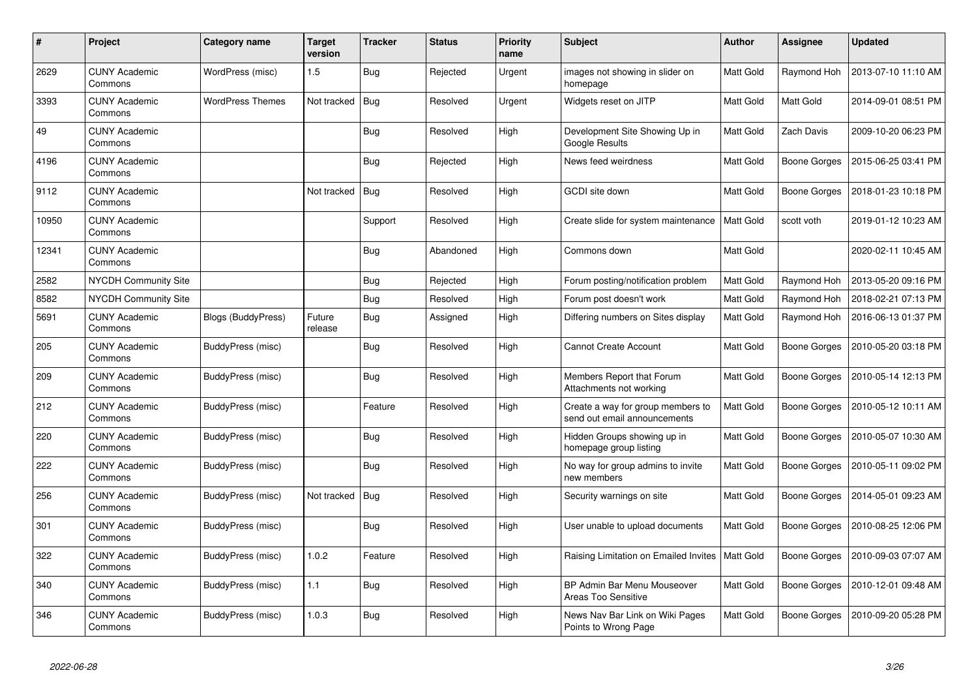| #     | Project                         | Category name             | <b>Target</b><br>version | Tracker    | <b>Status</b> | <b>Priority</b><br>name | <b>Subject</b>                                                    | <b>Author</b>    | Assignee            | <b>Updated</b>      |
|-------|---------------------------------|---------------------------|--------------------------|------------|---------------|-------------------------|-------------------------------------------------------------------|------------------|---------------------|---------------------|
| 2629  | <b>CUNY Academic</b><br>Commons | WordPress (misc)          | 1.5                      | <b>Bug</b> | Rejected      | Urgent                  | images not showing in slider on<br>homepage                       | Matt Gold        | Raymond Hoh         | 2013-07-10 11:10 AM |
| 3393  | <b>CUNY Academic</b><br>Commons | <b>WordPress Themes</b>   | Not tracked              | Bug        | Resolved      | Urgent                  | Widgets reset on JITP                                             | Matt Gold        | Matt Gold           | 2014-09-01 08:51 PM |
| 49    | <b>CUNY Academic</b><br>Commons |                           |                          | <b>Bug</b> | Resolved      | High                    | Development Site Showing Up in<br>Google Results                  | Matt Gold        | <b>Zach Davis</b>   | 2009-10-20 06:23 PM |
| 4196  | <b>CUNY Academic</b><br>Commons |                           |                          | <b>Bug</b> | Rejected      | High                    | News feed weirdness                                               | Matt Gold        | Boone Gorges        | 2015-06-25 03:41 PM |
| 9112  | <b>CUNY Academic</b><br>Commons |                           | Not tracked              | Bug        | Resolved      | High                    | GCDI site down                                                    | Matt Gold        | Boone Gorges        | 2018-01-23 10:18 PM |
| 10950 | <b>CUNY Academic</b><br>Commons |                           |                          | Support    | Resolved      | High                    | Create slide for system maintenance                               | <b>Matt Gold</b> | scott voth          | 2019-01-12 10:23 AM |
| 12341 | <b>CUNY Academic</b><br>Commons |                           |                          | Bug        | Abandoned     | High                    | Commons down                                                      | Matt Gold        |                     | 2020-02-11 10:45 AM |
| 2582  | NYCDH Community Site            |                           |                          | <b>Bug</b> | Rejected      | High                    | Forum posting/notification problem                                | Matt Gold        | Raymond Hoh         | 2013-05-20 09:16 PM |
| 8582  | <b>NYCDH Community Site</b>     |                           |                          | <b>Bug</b> | Resolved      | High                    | Forum post doesn't work                                           | Matt Gold        | Raymond Hoh         | 2018-02-21 07:13 PM |
| 5691  | <b>CUNY Academic</b><br>Commons | <b>Blogs (BuddyPress)</b> | Future<br>release        | <b>Bug</b> | Assigned      | High                    | Differing numbers on Sites display                                | Matt Gold        | Raymond Hoh         | 2016-06-13 01:37 PM |
| 205   | <b>CUNY Academic</b><br>Commons | BuddyPress (misc)         |                          | Bug        | Resolved      | High                    | <b>Cannot Create Account</b>                                      | Matt Gold        | Boone Gorges        | 2010-05-20 03:18 PM |
| 209   | <b>CUNY Academic</b><br>Commons | BuddyPress (misc)         |                          | <b>Bug</b> | Resolved      | High                    | Members Report that Forum<br>Attachments not working              | Matt Gold        | Boone Gorges        | 2010-05-14 12:13 PM |
| 212   | <b>CUNY Academic</b><br>Commons | BuddyPress (misc)         |                          | Feature    | Resolved      | High                    | Create a way for group members to<br>send out email announcements | Matt Gold        | Boone Gorges        | 2010-05-12 10:11 AM |
| 220   | <b>CUNY Academic</b><br>Commons | BuddyPress (misc)         |                          | <b>Bug</b> | Resolved      | High                    | Hidden Groups showing up in<br>homepage group listing             | Matt Gold        | Boone Gorges        | 2010-05-07 10:30 AM |
| 222   | <b>CUNY Academic</b><br>Commons | BuddyPress (misc)         |                          | <b>Bug</b> | Resolved      | High                    | No way for group admins to invite<br>new members                  | Matt Gold        | Boone Gorges        | 2010-05-11 09:02 PM |
| 256   | <b>CUNY Academic</b><br>Commons | BuddyPress (misc)         | Not tracked              | Bug        | Resolved      | High                    | Security warnings on site                                         | Matt Gold        | Boone Gorges        | 2014-05-01 09:23 AM |
| 301   | <b>CUNY Academic</b><br>Commons | BuddyPress (misc)         |                          | Bug        | Resolved      | High                    | User unable to upload documents                                   | Matt Gold        | <b>Boone Gorges</b> | 2010-08-25 12:06 PM |
| 322   | <b>CUNY Academic</b><br>Commons | BuddyPress (misc)         | 1.0.2                    | Feature    | Resolved      | High                    | Raising Limitation on Emailed Invites                             | Matt Gold        | Boone Gorges        | 2010-09-03 07:07 AM |
| 340   | <b>CUNY Academic</b><br>Commons | BuddyPress (misc)         | 1.1                      | <b>Bug</b> | Resolved      | High                    | BP Admin Bar Menu Mouseover<br><b>Areas Too Sensitive</b>         | Matt Gold        | Boone Gorges        | 2010-12-01 09:48 AM |
| 346   | <b>CUNY Academic</b><br>Commons | BuddyPress (misc)         | 1.0.3                    | <b>Bug</b> | Resolved      | High                    | News Nav Bar Link on Wiki Pages<br>Points to Wrong Page           | Matt Gold        | Boone Gorges        | 2010-09-20 05:28 PM |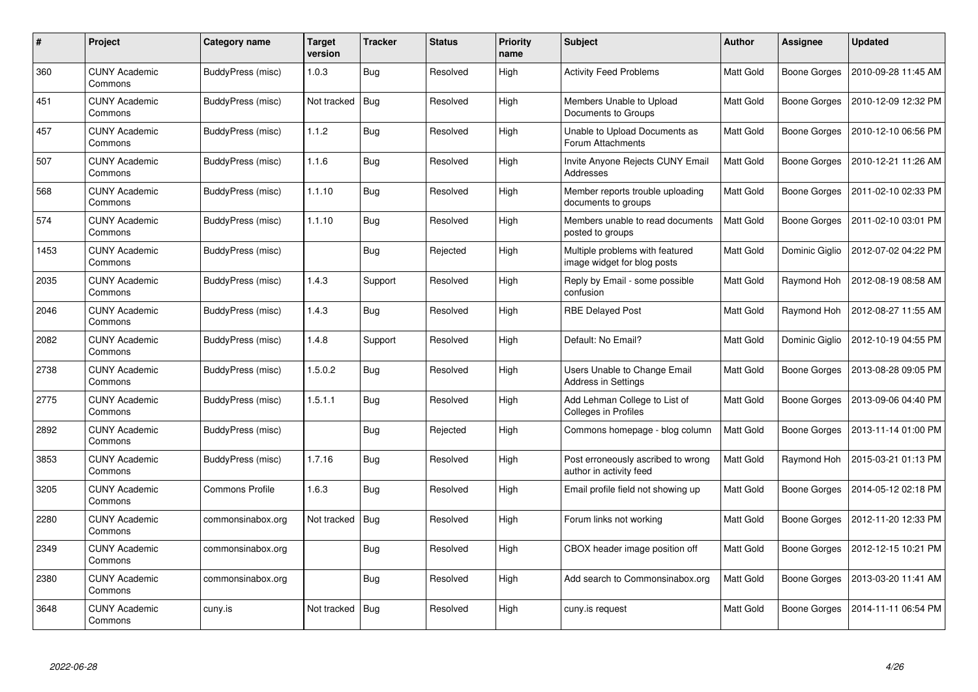| #    | Project                         | Category name          | <b>Target</b><br>version | <b>Tracker</b> | <b>Status</b> | <b>Priority</b><br>name | Subject                                                        | <b>Author</b> | Assignee            | <b>Updated</b>      |
|------|---------------------------------|------------------------|--------------------------|----------------|---------------|-------------------------|----------------------------------------------------------------|---------------|---------------------|---------------------|
| 360  | <b>CUNY Academic</b><br>Commons | BuddyPress (misc)      | 1.0.3                    | <b>Bug</b>     | Resolved      | High                    | <b>Activity Feed Problems</b>                                  | Matt Gold     | <b>Boone Gorges</b> | 2010-09-28 11:45 AM |
| 451  | <b>CUNY Academic</b><br>Commons | BuddyPress (misc)      | Not tracked              | Bug            | Resolved      | High                    | Members Unable to Upload<br>Documents to Groups                | Matt Gold     | Boone Gorges        | 2010-12-09 12:32 PM |
| 457  | <b>CUNY Academic</b><br>Commons | BuddyPress (misc)      | 1.1.2                    | <b>Bug</b>     | Resolved      | High                    | Unable to Upload Documents as<br>Forum Attachments             | Matt Gold     | Boone Gorges        | 2010-12-10 06:56 PM |
| 507  | <b>CUNY Academic</b><br>Commons | BuddyPress (misc)      | 1.1.6                    | <b>Bug</b>     | Resolved      | High                    | Invite Anyone Rejects CUNY Email<br>Addresses                  | Matt Gold     | Boone Gorges        | 2010-12-21 11:26 AM |
| 568  | <b>CUNY Academic</b><br>Commons | BuddyPress (misc)      | 1.1.10                   | <b>Bug</b>     | Resolved      | High                    | Member reports trouble uploading<br>documents to groups        | Matt Gold     | Boone Gorges        | 2011-02-10 02:33 PM |
| 574  | <b>CUNY Academic</b><br>Commons | BuddyPress (misc)      | 1.1.10                   | Bug            | Resolved      | High                    | Members unable to read documents<br>posted to groups           | Matt Gold     | Boone Gorges        | 2011-02-10 03:01 PM |
| 1453 | <b>CUNY Academic</b><br>Commons | BuddyPress (misc)      |                          | <b>Bug</b>     | Rejected      | High                    | Multiple problems with featured<br>image widget for blog posts | Matt Gold     | Dominic Giglio      | 2012-07-02 04:22 PM |
| 2035 | <b>CUNY Academic</b><br>Commons | BuddyPress (misc)      | 1.4.3                    | Support        | Resolved      | High                    | Reply by Email - some possible<br>confusion                    | Matt Gold     | Raymond Hoh         | 2012-08-19 08:58 AM |
| 2046 | <b>CUNY Academic</b><br>Commons | BuddyPress (misc)      | 1.4.3                    | Bug            | Resolved      | High                    | <b>RBE Delayed Post</b>                                        | Matt Gold     | Raymond Hoh         | 2012-08-27 11:55 AM |
| 2082 | <b>CUNY Academic</b><br>Commons | BuddyPress (misc)      | 1.4.8                    | Support        | Resolved      | High                    | Default: No Email?                                             | Matt Gold     | Dominic Giglio      | 2012-10-19 04:55 PM |
| 2738 | <b>CUNY Academic</b><br>Commons | BuddyPress (misc)      | 1.5.0.2                  | <b>Bug</b>     | Resolved      | High                    | Users Unable to Change Email<br><b>Address in Settings</b>     | Matt Gold     | <b>Boone Gorges</b> | 2013-08-28 09:05 PM |
| 2775 | <b>CUNY Academic</b><br>Commons | BuddyPress (misc)      | 1.5.1.1                  | <b>Bug</b>     | Resolved      | High                    | Add Lehman College to List of<br>Colleges in Profiles          | Matt Gold     | Boone Gorges        | 2013-09-06 04:40 PM |
| 2892 | <b>CUNY Academic</b><br>Commons | BuddyPress (misc)      |                          | <b>Bug</b>     | Rejected      | High                    | Commons homepage - blog column                                 | Matt Gold     | Boone Gorges        | 2013-11-14 01:00 PM |
| 3853 | <b>CUNY Academic</b><br>Commons | BuddyPress (misc)      | 1.7.16                   | Bug            | Resolved      | High                    | Post erroneously ascribed to wrong<br>author in activity feed  | Matt Gold     | Raymond Hoh         | 2015-03-21 01:13 PM |
| 3205 | <b>CUNY Academic</b><br>Commons | <b>Commons Profile</b> | 1.6.3                    | <b>Bug</b>     | Resolved      | High                    | Email profile field not showing up                             | Matt Gold     | <b>Boone Gorges</b> | 2014-05-12 02:18 PM |
| 2280 | <b>CUNY Academic</b><br>Commons | commonsinabox.org      | Not tracked              | Bug            | Resolved      | High                    | Forum links not working                                        | Matt Gold     | <b>Boone Gorges</b> | 2012-11-20 12:33 PM |
| 2349 | <b>CUNY Academic</b><br>Commons | commonsinabox.org      |                          | Bug            | Resolved      | High                    | CBOX header image position off                                 | Matt Gold     | Boone Gorges        | 2012-12-15 10:21 PM |
| 2380 | <b>CUNY Academic</b><br>Commons | commonsinabox.org      |                          | Bug            | Resolved      | High                    | Add search to Commonsinabox.org                                | Matt Gold     | Boone Gorges        | 2013-03-20 11:41 AM |
| 3648 | <b>CUNY Academic</b><br>Commons | cuny.is                | Not tracked              | <b>Bug</b>     | Resolved      | High                    | cuny.is request                                                | Matt Gold     | Boone Gorges        | 2014-11-11 06:54 PM |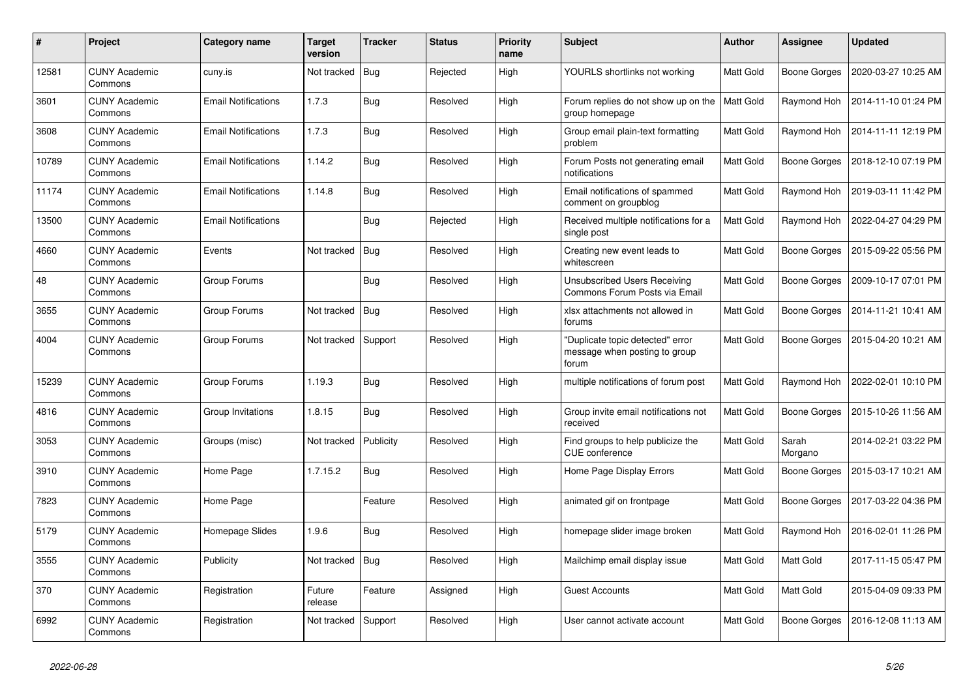| #     | Project                         | Category name              | <b>Target</b><br>version | <b>Tracker</b> | <b>Status</b> | <b>Priority</b><br>name | <b>Subject</b>                                                             | Author           | Assignee            | <b>Updated</b>      |
|-------|---------------------------------|----------------------------|--------------------------|----------------|---------------|-------------------------|----------------------------------------------------------------------------|------------------|---------------------|---------------------|
| 12581 | <b>CUNY Academic</b><br>Commons | cuny.is                    | Not tracked              | Bug            | Rejected      | High                    | YOURLS shortlinks not working                                              | Matt Gold        | <b>Boone Gorges</b> | 2020-03-27 10:25 AM |
| 3601  | <b>CUNY Academic</b><br>Commons | <b>Email Notifications</b> | 1.7.3                    | <b>Bug</b>     | Resolved      | High                    | Forum replies do not show up on the<br>group homepage                      | <b>Matt Gold</b> | Raymond Hoh         | 2014-11-10 01:24 PM |
| 3608  | <b>CUNY Academic</b><br>Commons | <b>Email Notifications</b> | 1.7.3                    | Bug            | Resolved      | High                    | Group email plain-text formatting<br>problem                               | Matt Gold        | Raymond Hoh         | 2014-11-11 12:19 PM |
| 10789 | <b>CUNY Academic</b><br>Commons | <b>Email Notifications</b> | 1.14.2                   | Bug            | Resolved      | High                    | Forum Posts not generating email<br>notifications                          | Matt Gold        | Boone Gorges        | 2018-12-10 07:19 PM |
| 11174 | <b>CUNY Academic</b><br>Commons | <b>Email Notifications</b> | 1.14.8                   | <b>Bug</b>     | Resolved      | High                    | Email notifications of spammed<br>comment on groupblog                     | Matt Gold        | Raymond Hoh         | 2019-03-11 11:42 PM |
| 13500 | <b>CUNY Academic</b><br>Commons | <b>Email Notifications</b> |                          | Bug            | Rejected      | High                    | Received multiple notifications for a<br>single post                       | Matt Gold        | Raymond Hoh         | 2022-04-27 04:29 PM |
| 4660  | <b>CUNY Academic</b><br>Commons | Events                     | Not tracked              | Bug            | Resolved      | High                    | Creating new event leads to<br>whitescreen                                 | Matt Gold        | <b>Boone Gorges</b> | 2015-09-22 05:56 PM |
| 48    | <b>CUNY Academic</b><br>Commons | Group Forums               |                          | <b>Bug</b>     | Resolved      | High                    | <b>Unsubscribed Users Receiving</b><br>Commons Forum Posts via Email       | <b>Matt Gold</b> | <b>Boone Gorges</b> | 2009-10-17 07:01 PM |
| 3655  | <b>CUNY Academic</b><br>Commons | Group Forums               | Not tracked              | Bug            | Resolved      | High                    | xlsx attachments not allowed in<br>forums                                  | Matt Gold        | Boone Gorges        | 2014-11-21 10:41 AM |
| 4004  | <b>CUNY Academic</b><br>Commons | Group Forums               | Not tracked              | Support        | Resolved      | High                    | 'Duplicate topic detected" error<br>message when posting to group<br>forum | Matt Gold        | <b>Boone Gorges</b> | 2015-04-20 10:21 AM |
| 15239 | <b>CUNY Academic</b><br>Commons | Group Forums               | 1.19.3                   | <b>Bug</b>     | Resolved      | High                    | multiple notifications of forum post                                       | <b>Matt Gold</b> | Raymond Hoh         | 2022-02-01 10:10 PM |
| 4816  | <b>CUNY Academic</b><br>Commons | Group Invitations          | 1.8.15                   | Bug            | Resolved      | High                    | Group invite email notifications not<br>received                           | Matt Gold        | <b>Boone Gorges</b> | 2015-10-26 11:56 AM |
| 3053  | <b>CUNY Academic</b><br>Commons | Groups (misc)              | Not tracked              | Publicity      | Resolved      | High                    | Find groups to help publicize the<br><b>CUE</b> conference                 | Matt Gold        | Sarah<br>Morgano    | 2014-02-21 03:22 PM |
| 3910  | <b>CUNY Academic</b><br>Commons | Home Page                  | 1.7.15.2                 | Bug            | Resolved      | High                    | Home Page Display Errors                                                   | Matt Gold        | Boone Gorges        | 2015-03-17 10:21 AM |
| 7823  | <b>CUNY Academic</b><br>Commons | Home Page                  |                          | Feature        | Resolved      | High                    | animated gif on frontpage                                                  | <b>Matt Gold</b> | <b>Boone Gorges</b> | 2017-03-22 04:36 PM |
| 5179  | <b>CUNY Academic</b><br>Commons | Homepage Slides            | 1.9.6                    | <b>Bug</b>     | Resolved      | High                    | homepage slider image broken                                               | Matt Gold        | Raymond Hoh         | 2016-02-01 11:26 PM |
| 3555  | <b>CUNY Academic</b><br>Commons | Publicity                  | Not tracked              | Bug            | Resolved      | High                    | Mailchimp email display issue                                              | Matt Gold        | Matt Gold           | 2017-11-15 05:47 PM |
| 370   | <b>CUNY Academic</b><br>Commons | Registration               | Future<br>release        | Feature        | Assigned      | High                    | <b>Guest Accounts</b>                                                      | Matt Gold        | Matt Gold           | 2015-04-09 09:33 PM |
| 6992  | <b>CUNY Academic</b><br>Commons | Registration               | Not tracked              | Support        | Resolved      | High                    | User cannot activate account                                               | Matt Gold        | <b>Boone Gorges</b> | 2016-12-08 11:13 AM |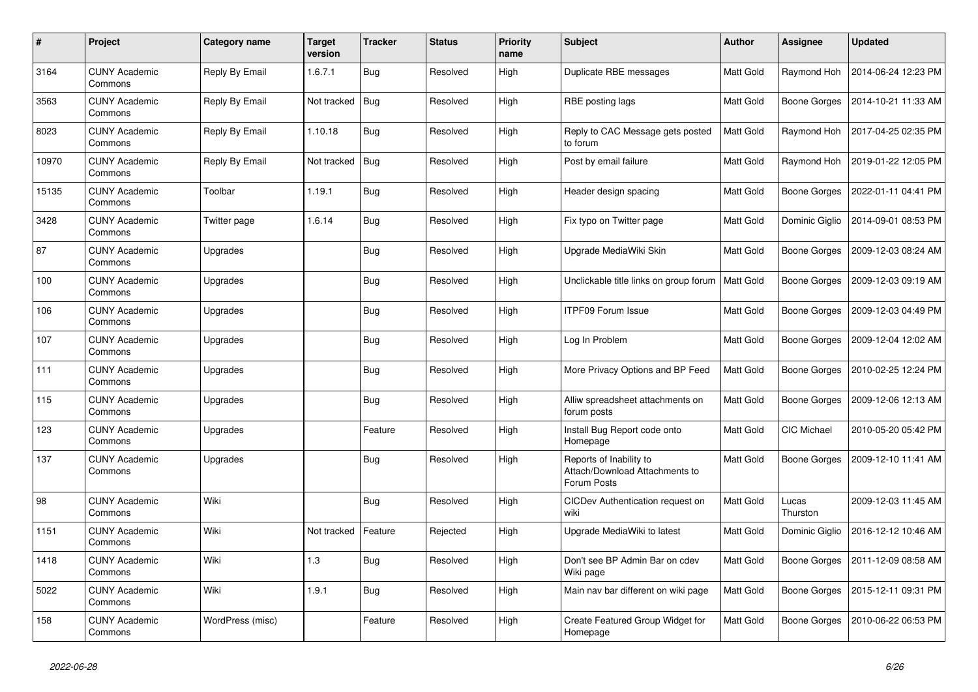| $\#$  | Project                         | Category name    | <b>Target</b><br>version | <b>Tracker</b> | <b>Status</b> | <b>Priority</b><br>name | <b>Subject</b>                                                           | <b>Author</b>    | <b>Assignee</b>     | <b>Updated</b>      |
|-------|---------------------------------|------------------|--------------------------|----------------|---------------|-------------------------|--------------------------------------------------------------------------|------------------|---------------------|---------------------|
| 3164  | <b>CUNY Academic</b><br>Commons | Reply By Email   | 1.6.7.1                  | <b>Bug</b>     | Resolved      | High                    | Duplicate RBE messages                                                   | Matt Gold        | Raymond Hoh         | 2014-06-24 12:23 PM |
| 3563  | <b>CUNY Academic</b><br>Commons | Reply By Email   | Not tracked              | Bug            | Resolved      | High                    | RBE posting lags                                                         | Matt Gold        | <b>Boone Gorges</b> | 2014-10-21 11:33 AM |
| 8023  | <b>CUNY Academic</b><br>Commons | Reply By Email   | 1.10.18                  | <b>Bug</b>     | Resolved      | High                    | Reply to CAC Message gets posted<br>to forum                             | Matt Gold        | Raymond Hoh         | 2017-04-25 02:35 PM |
| 10970 | <b>CUNY Academic</b><br>Commons | Reply By Email   | Not tracked              | Bug            | Resolved      | High                    | Post by email failure                                                    | Matt Gold        | Raymond Hoh         | 2019-01-22 12:05 PM |
| 15135 | <b>CUNY Academic</b><br>Commons | Toolbar          | 1.19.1                   | <b>Bug</b>     | Resolved      | High                    | Header design spacing                                                    | Matt Gold        | <b>Boone Gorges</b> | 2022-01-11 04:41 PM |
| 3428  | <b>CUNY Academic</b><br>Commons | Twitter page     | 1.6.14                   | <b>Bug</b>     | Resolved      | High                    | Fix typo on Twitter page                                                 | <b>Matt Gold</b> | Dominic Giglio      | 2014-09-01 08:53 PM |
| 87    | <b>CUNY Academic</b><br>Commons | Upgrades         |                          | <b>Bug</b>     | Resolved      | High                    | Upgrade MediaWiki Skin                                                   | <b>Matt Gold</b> | Boone Gorges        | 2009-12-03 08:24 AM |
| 100   | <b>CUNY Academic</b><br>Commons | Upgrades         |                          | Bug            | Resolved      | High                    | Unclickable title links on group forum                                   | Matt Gold        | <b>Boone Gorges</b> | 2009-12-03 09:19 AM |
| 106   | <b>CUNY Academic</b><br>Commons | Upgrades         |                          | Bug            | Resolved      | High                    | <b>ITPF09 Forum Issue</b>                                                | Matt Gold        | Boone Gorges        | 2009-12-03 04:49 PM |
| 107   | <b>CUNY Academic</b><br>Commons | Upgrades         |                          | <b>Bug</b>     | Resolved      | High                    | Log In Problem                                                           | Matt Gold        | <b>Boone Gorges</b> | 2009-12-04 12:02 AM |
| 111   | <b>CUNY Academic</b><br>Commons | Upgrades         |                          | <b>Bug</b>     | Resolved      | High                    | More Privacy Options and BP Feed                                         | <b>Matt Gold</b> | <b>Boone Gorges</b> | 2010-02-25 12:24 PM |
| 115   | <b>CUNY Academic</b><br>Commons | Upgrades         |                          | Bug            | Resolved      | High                    | Alliw spreadsheet attachments on<br>forum posts                          | <b>Matt Gold</b> | <b>Boone Gorges</b> | 2009-12-06 12:13 AM |
| 123   | <b>CUNY Academic</b><br>Commons | Upgrades         |                          | Feature        | Resolved      | High                    | Install Bug Report code onto<br>Homepage                                 | Matt Gold        | CIC Michael         | 2010-05-20 05:42 PM |
| 137   | <b>CUNY Academic</b><br>Commons | Upgrades         |                          | <b>Bug</b>     | Resolved      | High                    | Reports of Inability to<br>Attach/Download Attachments to<br>Forum Posts | Matt Gold        | <b>Boone Gorges</b> | 2009-12-10 11:41 AM |
| 98    | <b>CUNY Academic</b><br>Commons | Wiki             |                          | <b>Bug</b>     | Resolved      | High                    | CICDev Authentication request on<br>wiki                                 | Matt Gold        | Lucas<br>Thurston   | 2009-12-03 11:45 AM |
| 1151  | <b>CUNY Academic</b><br>Commons | Wiki             | Not tracked              | Feature        | Rejected      | High                    | Upgrade MediaWiki to latest                                              | Matt Gold        | Dominic Giglio      | 2016-12-12 10:46 AM |
| 1418  | <b>CUNY Academic</b><br>Commons | Wiki             | 1.3                      | Bug            | Resolved      | High                    | Don't see BP Admin Bar on cdev<br>Wiki page                              | <b>Matt Gold</b> | Boone Gorges        | 2011-12-09 08:58 AM |
| 5022  | <b>CUNY Academic</b><br>Commons | Wiki             | 1.9.1                    | <b>Bug</b>     | Resolved      | High                    | Main nav bar different on wiki page                                      | Matt Gold        | Boone Gorges        | 2015-12-11 09:31 PM |
| 158   | <b>CUNY Academic</b><br>Commons | WordPress (misc) |                          | Feature        | Resolved      | High                    | Create Featured Group Widget for<br>Homepage                             | <b>Matt Gold</b> | Boone Gorges        | 2010-06-22 06:53 PM |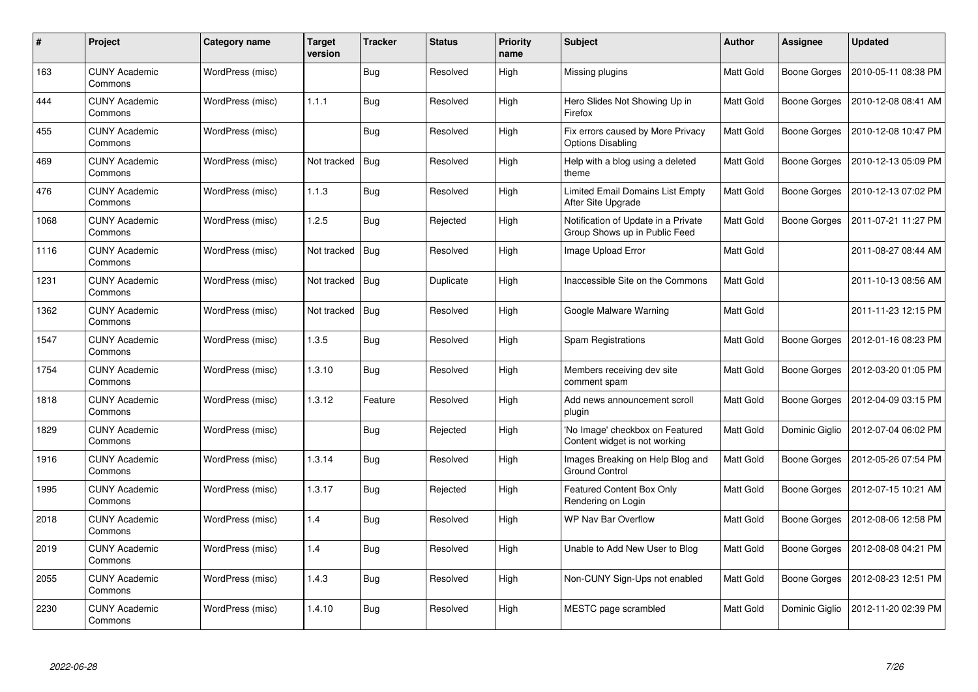| #    | Project                         | <b>Category name</b> | Target<br>version | <b>Tracker</b> | <b>Status</b> | <b>Priority</b><br>name | <b>Subject</b>                                                       | <b>Author</b>    | Assignee            | <b>Updated</b>      |
|------|---------------------------------|----------------------|-------------------|----------------|---------------|-------------------------|----------------------------------------------------------------------|------------------|---------------------|---------------------|
| 163  | <b>CUNY Academic</b><br>Commons | WordPress (misc)     |                   | Bug            | Resolved      | High                    | Missing plugins                                                      | Matt Gold        | Boone Gorges        | 2010-05-11 08:38 PM |
| 444  | <b>CUNY Academic</b><br>Commons | WordPress (misc)     | 1.1.1             | Bug            | Resolved      | High                    | Hero Slides Not Showing Up in<br>Firefox                             | Matt Gold        | Boone Gorges        | 2010-12-08 08:41 AM |
| 455  | <b>CUNY Academic</b><br>Commons | WordPress (misc)     |                   | <b>Bug</b>     | Resolved      | High                    | Fix errors caused by More Privacy<br><b>Options Disabling</b>        | <b>Matt Gold</b> | <b>Boone Gorges</b> | 2010-12-08 10:47 PM |
| 469  | <b>CUNY Academic</b><br>Commons | WordPress (misc)     | Not tracked       | Bug            | Resolved      | High                    | Help with a blog using a deleted<br>theme                            | Matt Gold        | Boone Gorges        | 2010-12-13 05:09 PM |
| 476  | <b>CUNY Academic</b><br>Commons | WordPress (misc)     | 1.1.3             | Bug            | Resolved      | High                    | Limited Email Domains List Empty<br>After Site Upgrade               | Matt Gold        | Boone Gorges        | 2010-12-13 07:02 PM |
| 1068 | <b>CUNY Academic</b><br>Commons | WordPress (misc)     | 1.2.5             | <b>Bug</b>     | Rejected      | High                    | Notification of Update in a Private<br>Group Shows up in Public Feed | Matt Gold        | <b>Boone Gorges</b> | 2011-07-21 11:27 PM |
| 1116 | <b>CUNY Academic</b><br>Commons | WordPress (misc)     | Not tracked       | Bug            | Resolved      | High                    | Image Upload Error                                                   | Matt Gold        |                     | 2011-08-27 08:44 AM |
| 1231 | <b>CUNY Academic</b><br>Commons | WordPress (misc)     | Not tracked       | <b>Bug</b>     | Duplicate     | High                    | Inaccessible Site on the Commons                                     | Matt Gold        |                     | 2011-10-13 08:56 AM |
| 1362 | <b>CUNY Academic</b><br>Commons | WordPress (misc)     | Not tracked       | Bug            | Resolved      | High                    | Google Malware Warning                                               | Matt Gold        |                     | 2011-11-23 12:15 PM |
| 1547 | <b>CUNY Academic</b><br>Commons | WordPress (misc)     | 1.3.5             | Bug            | Resolved      | High                    | Spam Registrations                                                   | Matt Gold        | Boone Gorges        | 2012-01-16 08:23 PM |
| 1754 | <b>CUNY Academic</b><br>Commons | WordPress (misc)     | 1.3.10            | <b>Bug</b>     | Resolved      | High                    | Members receiving dev site<br>comment spam                           | Matt Gold        | <b>Boone Gorges</b> | 2012-03-20 01:05 PM |
| 1818 | CUNY Academic<br>Commons        | WordPress (misc)     | 1.3.12            | Feature        | Resolved      | High                    | Add news announcement scroll<br>plugin                               | Matt Gold        | Boone Gorges        | 2012-04-09 03:15 PM |
| 1829 | <b>CUNY Academic</b><br>Commons | WordPress (misc)     |                   | <b>Bug</b>     | Rejected      | High                    | 'No Image' checkbox on Featured<br>Content widget is not working     | Matt Gold        | Dominic Giglio      | 2012-07-04 06:02 PM |
| 1916 | <b>CUNY Academic</b><br>Commons | WordPress (misc)     | 1.3.14            | Bug            | Resolved      | High                    | Images Breaking on Help Blog and<br><b>Ground Control</b>            | Matt Gold        | Boone Gorges        | 2012-05-26 07:54 PM |
| 1995 | <b>CUNY Academic</b><br>Commons | WordPress (misc)     | 1.3.17            | <b>Bug</b>     | Rejected      | High                    | <b>Featured Content Box Only</b><br>Rendering on Login               | Matt Gold        | Boone Gorges        | 2012-07-15 10:21 AM |
| 2018 | <b>CUNY Academic</b><br>Commons | WordPress (misc)     | 1.4               | Bug            | Resolved      | High                    | WP Nav Bar Overflow                                                  | Matt Gold        | Boone Gorges        | 2012-08-06 12:58 PM |
| 2019 | <b>CUNY Academic</b><br>Commons | WordPress (misc)     | 1.4               | Bug            | Resolved      | High                    | Unable to Add New User to Blog                                       | Matt Gold        | Boone Gorges        | 2012-08-08 04:21 PM |
| 2055 | <b>CUNY Academic</b><br>Commons | WordPress (misc)     | 1.4.3             | <b>Bug</b>     | Resolved      | High                    | Non-CUNY Sign-Ups not enabled                                        | Matt Gold        | Boone Gorges        | 2012-08-23 12:51 PM |
| 2230 | <b>CUNY Academic</b><br>Commons | WordPress (misc)     | 1.4.10            | Bug            | Resolved      | High                    | MESTC page scrambled                                                 | Matt Gold        | Dominic Giglio      | 2012-11-20 02:39 PM |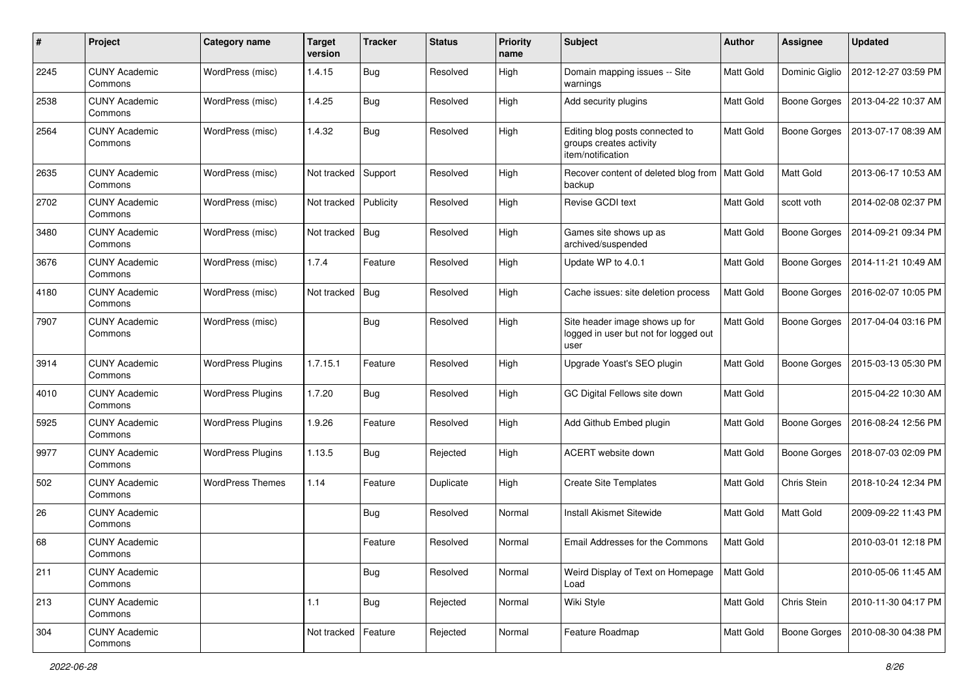| #    | Project                         | Category name            | <b>Target</b><br>version | <b>Tracker</b> | <b>Status</b> | <b>Priority</b><br>name | <b>Subject</b>                                                                  | <b>Author</b>    | <b>Assignee</b>     | <b>Updated</b>      |
|------|---------------------------------|--------------------------|--------------------------|----------------|---------------|-------------------------|---------------------------------------------------------------------------------|------------------|---------------------|---------------------|
| 2245 | <b>CUNY Academic</b><br>Commons | WordPress (misc)         | 1.4.15                   | Bug            | Resolved      | High                    | Domain mapping issues -- Site<br>warnings                                       | <b>Matt Gold</b> | Dominic Giglio      | 2012-12-27 03:59 PM |
| 2538 | <b>CUNY Academic</b><br>Commons | WordPress (misc)         | 1.4.25                   | Bug            | Resolved      | High                    | Add security plugins                                                            | Matt Gold        | <b>Boone Gorges</b> | 2013-04-22 10:37 AM |
| 2564 | <b>CUNY Academic</b><br>Commons | WordPress (misc)         | 1.4.32                   | Bug            | Resolved      | High                    | Editing blog posts connected to<br>groups creates activity<br>item/notification | Matt Gold        | <b>Boone Gorges</b> | 2013-07-17 08:39 AM |
| 2635 | <b>CUNY Academic</b><br>Commons | WordPress (misc)         | Not tracked              | Support        | Resolved      | High                    | Recover content of deleted blog from<br>backup                                  | <b>Matt Gold</b> | Matt Gold           | 2013-06-17 10:53 AM |
| 2702 | <b>CUNY Academic</b><br>Commons | WordPress (misc)         | Not tracked              | Publicity      | Resolved      | High                    | Revise GCDI text                                                                | <b>Matt Gold</b> | scott voth          | 2014-02-08 02:37 PM |
| 3480 | <b>CUNY Academic</b><br>Commons | WordPress (misc)         | Not tracked              | Bug            | Resolved      | High                    | Games site shows up as<br>archived/suspended                                    | <b>Matt Gold</b> | <b>Boone Gorges</b> | 2014-09-21 09:34 PM |
| 3676 | <b>CUNY Academic</b><br>Commons | WordPress (misc)         | 1.7.4                    | Feature        | Resolved      | High                    | Update WP to 4.0.1                                                              | Matt Gold        | <b>Boone Gorges</b> | 2014-11-21 10:49 AM |
| 4180 | <b>CUNY Academic</b><br>Commons | WordPress (misc)         | Not tracked              | Bug            | Resolved      | High                    | Cache issues: site deletion process                                             | Matt Gold        | <b>Boone Gorges</b> | 2016-02-07 10:05 PM |
| 7907 | <b>CUNY Academic</b><br>Commons | WordPress (misc)         |                          | Bug            | Resolved      | High                    | Site header image shows up for<br>logged in user but not for logged out<br>user | Matt Gold        | <b>Boone Gorges</b> | 2017-04-04 03:16 PM |
| 3914 | <b>CUNY Academic</b><br>Commons | <b>WordPress Plugins</b> | 1.7.15.1                 | Feature        | Resolved      | High                    | Upgrade Yoast's SEO plugin                                                      | Matt Gold        | <b>Boone Gorges</b> | 2015-03-13 05:30 PM |
| 4010 | <b>CUNY Academic</b><br>Commons | <b>WordPress Plugins</b> | 1.7.20                   | <b>Bug</b>     | Resolved      | High                    | GC Digital Fellows site down                                                    | Matt Gold        |                     | 2015-04-22 10:30 AM |
| 5925 | <b>CUNY Academic</b><br>Commons | <b>WordPress Plugins</b> | 1.9.26                   | Feature        | Resolved      | High                    | Add Github Embed plugin                                                         | Matt Gold        | <b>Boone Gorges</b> | 2016-08-24 12:56 PM |
| 9977 | <b>CUNY Academic</b><br>Commons | <b>WordPress Plugins</b> | 1.13.5                   | Bug            | Rejected      | High                    | <b>ACERT</b> website down                                                       | <b>Matt Gold</b> | <b>Boone Gorges</b> | 2018-07-03 02:09 PM |
| 502  | <b>CUNY Academic</b><br>Commons | <b>WordPress Themes</b>  | 1.14                     | Feature        | Duplicate     | High                    | <b>Create Site Templates</b>                                                    | <b>Matt Gold</b> | Chris Stein         | 2018-10-24 12:34 PM |
| 26   | <b>CUNY Academic</b><br>Commons |                          |                          | <b>Bug</b>     | Resolved      | Normal                  | <b>Install Akismet Sitewide</b>                                                 | <b>Matt Gold</b> | Matt Gold           | 2009-09-22 11:43 PM |
| 68   | <b>CUNY Academic</b><br>Commons |                          |                          | Feature        | Resolved      | Normal                  | Email Addresses for the Commons                                                 | Matt Gold        |                     | 2010-03-01 12:18 PM |
| 211  | <b>CUNY Academic</b><br>Commons |                          |                          | <b>Bug</b>     | Resolved      | Normal                  | Weird Display of Text on Homepage<br>Load                                       | <b>Matt Gold</b> |                     | 2010-05-06 11:45 AM |
| 213  | <b>CUNY Academic</b><br>Commons |                          | 1.1                      | <b>Bug</b>     | Rejected      | Normal                  | Wiki Style                                                                      | Matt Gold        | Chris Stein         | 2010-11-30 04:17 PM |
| 304  | <b>CUNY Academic</b><br>Commons |                          | Not tracked              | Feature        | Rejected      | Normal                  | Feature Roadmap                                                                 | Matt Gold        | <b>Boone Gorges</b> | 2010-08-30 04:38 PM |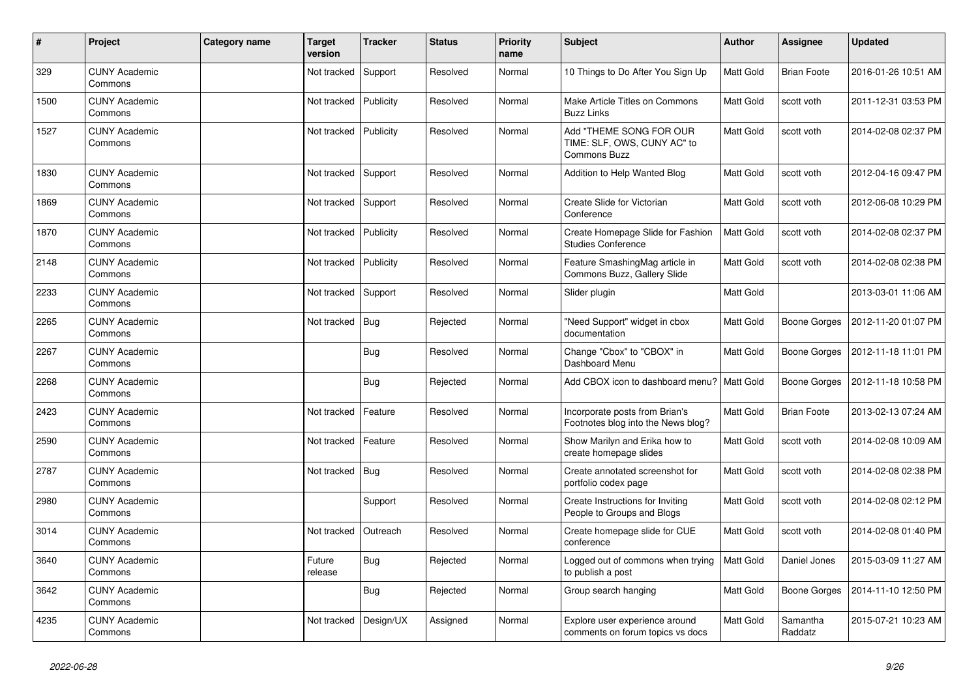| $\sharp$ | Project                         | Category name | Target<br>version     | <b>Tracker</b> | <b>Status</b> | <b>Priority</b><br>name | <b>Subject</b>                                                                | <b>Author</b>    | <b>Assignee</b>     | <b>Updated</b>      |
|----------|---------------------------------|---------------|-----------------------|----------------|---------------|-------------------------|-------------------------------------------------------------------------------|------------------|---------------------|---------------------|
| 329      | <b>CUNY Academic</b><br>Commons |               | Not tracked           | Support        | Resolved      | Normal                  | 10 Things to Do After You Sign Up                                             | <b>Matt Gold</b> | <b>Brian Foote</b>  | 2016-01-26 10:51 AM |
| 1500     | <b>CUNY Academic</b><br>Commons |               | Not tracked           | Publicity      | Resolved      | Normal                  | Make Article Titles on Commons<br><b>Buzz Links</b>                           | Matt Gold        | scott voth          | 2011-12-31 03:53 PM |
| 1527     | <b>CUNY Academic</b><br>Commons |               | Not tracked           | Publicity      | Resolved      | Normal                  | Add "THEME SONG FOR OUR<br>TIME: SLF, OWS, CUNY AC" to<br><b>Commons Buzz</b> | Matt Gold        | scott voth          | 2014-02-08 02:37 PM |
| 1830     | <b>CUNY Academic</b><br>Commons |               | Not tracked           | Support        | Resolved      | Normal                  | Addition to Help Wanted Blog                                                  | Matt Gold        | scott voth          | 2012-04-16 09:47 PM |
| 1869     | <b>CUNY Academic</b><br>Commons |               | Not tracked   Support |                | Resolved      | Normal                  | Create Slide for Victorian<br>Conference                                      | Matt Gold        | scott voth          | 2012-06-08 10:29 PM |
| 1870     | <b>CUNY Academic</b><br>Commons |               | Not tracked           | Publicity      | Resolved      | Normal                  | Create Homepage Slide for Fashion<br><b>Studies Conference</b>                | <b>Matt Gold</b> | scott voth          | 2014-02-08 02:37 PM |
| 2148     | <b>CUNY Academic</b><br>Commons |               | Not tracked           | Publicity      | Resolved      | Normal                  | Feature SmashingMag article in<br>Commons Buzz, Gallery Slide                 | <b>Matt Gold</b> | scott voth          | 2014-02-08 02:38 PM |
| 2233     | <b>CUNY Academic</b><br>Commons |               | Not tracked           | Support        | Resolved      | Normal                  | Slider plugin                                                                 | Matt Gold        |                     | 2013-03-01 11:06 AM |
| 2265     | <b>CUNY Academic</b><br>Commons |               | Not tracked           | Bug            | Rejected      | Normal                  | "Need Support" widget in cbox<br>documentation                                | Matt Gold        | <b>Boone Gorges</b> | 2012-11-20 01:07 PM |
| 2267     | <b>CUNY Academic</b><br>Commons |               |                       | <b>Bug</b>     | Resolved      | Normal                  | Change "Cbox" to "CBOX" in<br>Dashboard Menu                                  | Matt Gold        | <b>Boone Gorges</b> | 2012-11-18 11:01 PM |
| 2268     | <b>CUNY Academic</b><br>Commons |               |                       | <b>Bug</b>     | Rejected      | Normal                  | Add CBOX icon to dashboard menu?                                              | <b>Matt Gold</b> | <b>Boone Gorges</b> | 2012-11-18 10:58 PM |
| 2423     | <b>CUNY Academic</b><br>Commons |               | Not tracked           | Feature        | Resolved      | Normal                  | Incorporate posts from Brian's<br>Footnotes blog into the News blog?          | Matt Gold        | <b>Brian Foote</b>  | 2013-02-13 07:24 AM |
| 2590     | <b>CUNY Academic</b><br>Commons |               | Not tracked           | Feature        | Resolved      | Normal                  | Show Marilyn and Erika how to<br>create homepage slides                       | Matt Gold        | scott voth          | 2014-02-08 10:09 AM |
| 2787     | <b>CUNY Academic</b><br>Commons |               | Not tracked           | Bug            | Resolved      | Normal                  | Create annotated screenshot for<br>portfolio codex page                       | Matt Gold        | scott voth          | 2014-02-08 02:38 PM |
| 2980     | <b>CUNY Academic</b><br>Commons |               |                       | Support        | Resolved      | Normal                  | Create Instructions for Inviting<br>People to Groups and Blogs                | <b>Matt Gold</b> | scott voth          | 2014-02-08 02:12 PM |
| 3014     | <b>CUNY Academic</b><br>Commons |               | Not tracked           | Outreach       | Resolved      | Normal                  | Create homepage slide for CUE<br>conference                                   | Matt Gold        | scott voth          | 2014-02-08 01:40 PM |
| 3640     | <b>CUNY Academic</b><br>Commons |               | Future<br>release     | <b>Bug</b>     | Rejected      | Normal                  | Logged out of commons when trying<br>to publish a post                        | Matt Gold        | Daniel Jones        | 2015-03-09 11:27 AM |
| 3642     | <b>CUNY Academic</b><br>Commons |               |                       | <b>Bug</b>     | Rejected      | Normal                  | Group search hanging                                                          | <b>Matt Gold</b> | <b>Boone Gorges</b> | 2014-11-10 12:50 PM |
| 4235     | <b>CUNY Academic</b><br>Commons |               | Not tracked           | Design/UX      | Assigned      | Normal                  | Explore user experience around<br>comments on forum topics vs docs            | Matt Gold        | Samantha<br>Raddatz | 2015-07-21 10:23 AM |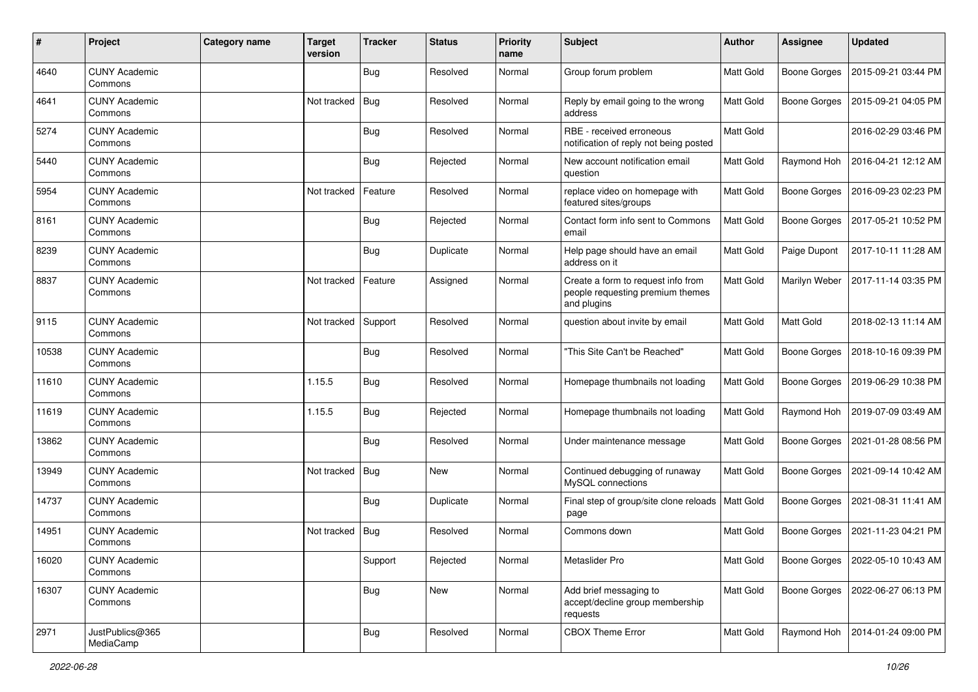| #     | Project                         | Category name | <b>Target</b><br>version | <b>Tracker</b> | <b>Status</b> | <b>Priority</b><br>name | <b>Subject</b>                                                                        | Author           | Assignee            | <b>Updated</b>      |
|-------|---------------------------------|---------------|--------------------------|----------------|---------------|-------------------------|---------------------------------------------------------------------------------------|------------------|---------------------|---------------------|
| 4640  | <b>CUNY Academic</b><br>Commons |               |                          | <b>Bug</b>     | Resolved      | Normal                  | Group forum problem                                                                   | Matt Gold        | <b>Boone Gorges</b> | 2015-09-21 03:44 PM |
| 4641  | <b>CUNY Academic</b><br>Commons |               | Not tracked              | <b>Bug</b>     | Resolved      | Normal                  | Reply by email going to the wrong<br>address                                          | <b>Matt Gold</b> | <b>Boone Gorges</b> | 2015-09-21 04:05 PM |
| 5274  | <b>CUNY Academic</b><br>Commons |               |                          | <b>Bug</b>     | Resolved      | Normal                  | RBE - received erroneous<br>notification of reply not being posted                    | <b>Matt Gold</b> |                     | 2016-02-29 03:46 PM |
| 5440  | <b>CUNY Academic</b><br>Commons |               |                          | <b>Bug</b>     | Rejected      | Normal                  | New account notification email<br>question                                            | <b>Matt Gold</b> | Raymond Hoh         | 2016-04-21 12:12 AM |
| 5954  | <b>CUNY Academic</b><br>Commons |               | Not tracked              | Feature        | Resolved      | Normal                  | replace video on homepage with<br>featured sites/groups                               | Matt Gold        | <b>Boone Gorges</b> | 2016-09-23 02:23 PM |
| 8161  | <b>CUNY Academic</b><br>Commons |               |                          | <b>Bug</b>     | Rejected      | Normal                  | Contact form info sent to Commons<br>email                                            | Matt Gold        | <b>Boone Gorges</b> | 2017-05-21 10:52 PM |
| 8239  | <b>CUNY Academic</b><br>Commons |               |                          | <b>Bug</b>     | Duplicate     | Normal                  | Help page should have an email<br>address on it                                       | Matt Gold        | Paige Dupont        | 2017-10-11 11:28 AM |
| 8837  | <b>CUNY Academic</b><br>Commons |               | Not tracked              | Feature        | Assigned      | Normal                  | Create a form to request info from<br>people requesting premium themes<br>and plugins | Matt Gold        | Marilyn Weber       | 2017-11-14 03:35 PM |
| 9115  | <b>CUNY Academic</b><br>Commons |               | Not tracked              | Support        | Resolved      | Normal                  | question about invite by email                                                        | Matt Gold        | Matt Gold           | 2018-02-13 11:14 AM |
| 10538 | <b>CUNY Academic</b><br>Commons |               |                          | <b>Bug</b>     | Resolved      | Normal                  | "This Site Can't be Reached"                                                          | <b>Matt Gold</b> | <b>Boone Gorges</b> | 2018-10-16 09:39 PM |
| 11610 | <b>CUNY Academic</b><br>Commons |               | 1.15.5                   | Bug            | Resolved      | Normal                  | Homepage thumbnails not loading                                                       | Matt Gold        | <b>Boone Gorges</b> | 2019-06-29 10:38 PM |
| 11619 | <b>CUNY Academic</b><br>Commons |               | 1.15.5                   | <b>Bug</b>     | Rejected      | Normal                  | Homepage thumbnails not loading                                                       | Matt Gold        | Raymond Hoh         | 2019-07-09 03:49 AM |
| 13862 | <b>CUNY Academic</b><br>Commons |               |                          | <b>Bug</b>     | Resolved      | Normal                  | Under maintenance message                                                             | <b>Matt Gold</b> | <b>Boone Gorges</b> | 2021-01-28 08:56 PM |
| 13949 | <b>CUNY Academic</b><br>Commons |               | Not tracked              | Bug            | New           | Normal                  | Continued debugging of runaway<br>MySQL connections                                   | <b>Matt Gold</b> | <b>Boone Gorges</b> | 2021-09-14 10:42 AM |
| 14737 | <b>CUNY Academic</b><br>Commons |               |                          | <b>Bug</b>     | Duplicate     | Normal                  | Final step of group/site clone reloads<br>page                                        | <b>Matt Gold</b> | Boone Gorges        | 2021-08-31 11:41 AM |
| 14951 | <b>CUNY Academic</b><br>Commons |               | Not tracked              | <b>Bug</b>     | Resolved      | Normal                  | Commons down                                                                          | <b>Matt Gold</b> | <b>Boone Gorges</b> | 2021-11-23 04:21 PM |
| 16020 | <b>CUNY Academic</b><br>Commons |               |                          | Support        | Rejected      | Normal                  | Metaslider Pro                                                                        | Matt Gold        | Boone Gorges        | 2022-05-10 10:43 AM |
| 16307 | <b>CUNY Academic</b><br>Commons |               |                          | Bug            | New           | Normal                  | Add brief messaging to<br>accept/decline group membership<br>requests                 | Matt Gold        | Boone Gorges        | 2022-06-27 06:13 PM |
| 2971  | JustPublics@365<br>MediaCamp    |               |                          | <b>Bug</b>     | Resolved      | Normal                  | <b>CBOX Theme Error</b>                                                               | Matt Gold        | Raymond Hoh         | 2014-01-24 09:00 PM |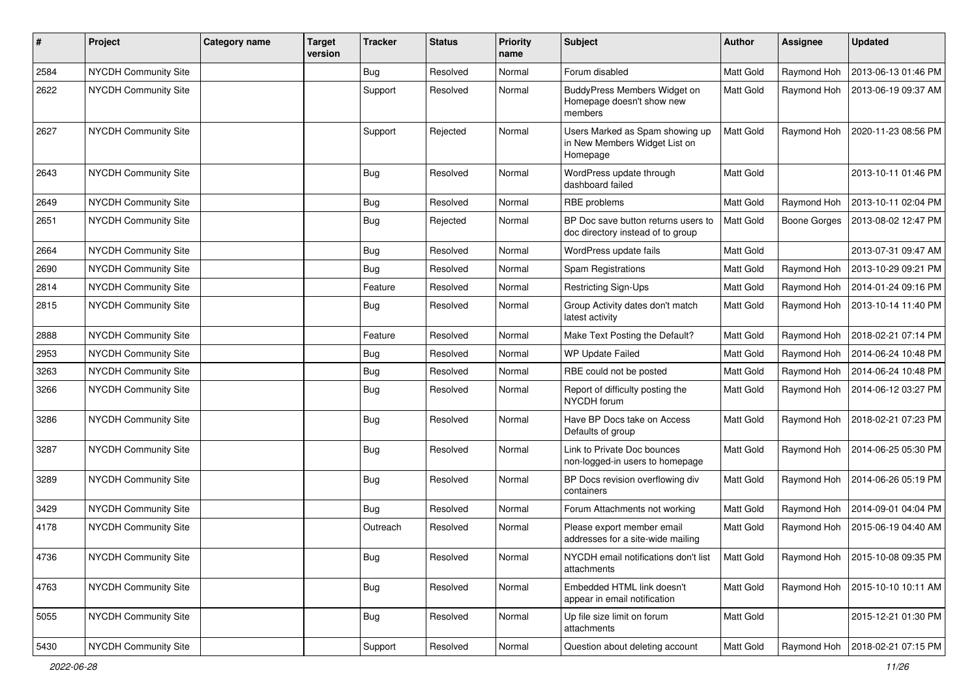| #    | Project              | Category name | <b>Target</b><br>version | <b>Tracker</b> | <b>Status</b> | <b>Priority</b><br>name | <b>Subject</b>                                                               | Author           | <b>Assignee</b> | <b>Updated</b>                    |
|------|----------------------|---------------|--------------------------|----------------|---------------|-------------------------|------------------------------------------------------------------------------|------------------|-----------------|-----------------------------------|
| 2584 | NYCDH Community Site |               |                          | <b>Bug</b>     | Resolved      | Normal                  | Forum disabled                                                               | Matt Gold        | Raymond Hoh     | 2013-06-13 01:46 PM               |
| 2622 | NYCDH Community Site |               |                          | Support        | Resolved      | Normal                  | BuddyPress Members Widget on<br>Homepage doesn't show new<br>members         | <b>Matt Gold</b> | Raymond Hoh     | 2013-06-19 09:37 AM               |
| 2627 | NYCDH Community Site |               |                          | Support        | Rejected      | Normal                  | Users Marked as Spam showing up<br>in New Members Widget List on<br>Homepage | <b>Matt Gold</b> | Raymond Hoh     | 2020-11-23 08:56 PM               |
| 2643 | NYCDH Community Site |               |                          | <b>Bug</b>     | Resolved      | Normal                  | WordPress update through<br>dashboard failed                                 | <b>Matt Gold</b> |                 | 2013-10-11 01:46 PM               |
| 2649 | NYCDH Community Site |               |                          | <b>Bug</b>     | Resolved      | Normal                  | RBE problems                                                                 | <b>Matt Gold</b> | Raymond Hoh     | 2013-10-11 02:04 PM               |
| 2651 | NYCDH Community Site |               |                          | <b>Bug</b>     | Rejected      | Normal                  | BP Doc save button returns users to<br>doc directory instead of to group     | Matt Gold        | Boone Gorges    | 2013-08-02 12:47 PM               |
| 2664 | NYCDH Community Site |               |                          | Bug            | Resolved      | Normal                  | WordPress update fails                                                       | Matt Gold        |                 | 2013-07-31 09:47 AM               |
| 2690 | NYCDH Community Site |               |                          | Bug            | Resolved      | Normal                  | <b>Spam Registrations</b>                                                    | Matt Gold        | Raymond Hoh     | 2013-10-29 09:21 PM               |
| 2814 | NYCDH Community Site |               |                          | Feature        | Resolved      | Normal                  | Restricting Sign-Ups                                                         | Matt Gold        | Raymond Hoh     | 2014-01-24 09:16 PM               |
| 2815 | NYCDH Community Site |               |                          | Bug            | Resolved      | Normal                  | Group Activity dates don't match<br>latest activity                          | Matt Gold        | Raymond Hoh     | 2013-10-14 11:40 PM               |
| 2888 | NYCDH Community Site |               |                          | Feature        | Resolved      | Normal                  | Make Text Posting the Default?                                               | Matt Gold        | Raymond Hoh     | 2018-02-21 07:14 PM               |
| 2953 | NYCDH Community Site |               |                          | Bug            | Resolved      | Normal                  | <b>WP Update Failed</b>                                                      | Matt Gold        | Raymond Hoh     | 2014-06-24 10:48 PM               |
| 3263 | NYCDH Community Site |               |                          | <b>Bug</b>     | Resolved      | Normal                  | RBE could not be posted                                                      | Matt Gold        | Raymond Hoh     | 2014-06-24 10:48 PM               |
| 3266 | NYCDH Community Site |               |                          | Bug            | Resolved      | Normal                  | Report of difficulty posting the<br>NYCDH forum                              | Matt Gold        | Raymond Hoh     | 2014-06-12 03:27 PM               |
| 3286 | NYCDH Community Site |               |                          | <b>Bug</b>     | Resolved      | Normal                  | Have BP Docs take on Access<br>Defaults of group                             | Matt Gold        | Raymond Hoh     | 2018-02-21 07:23 PM               |
| 3287 | NYCDH Community Site |               |                          | <b>Bug</b>     | Resolved      | Normal                  | Link to Private Doc bounces<br>non-logged-in users to homepage               | Matt Gold        | Raymond Hoh     | 2014-06-25 05:30 PM               |
| 3289 | NYCDH Community Site |               |                          | <b>Bug</b>     | Resolved      | Normal                  | BP Docs revision overflowing div<br>containers                               | Matt Gold        | Raymond Hoh     | 2014-06-26 05:19 PM               |
| 3429 | NYCDH Community Site |               |                          | Bug            | Resolved      | Normal                  | Forum Attachments not working                                                | Matt Gold        | Raymond Hoh     | 2014-09-01 04:04 PM               |
| 4178 | NYCDH Community Site |               |                          | Outreach       | Resolved      | Normal                  | Please export member email<br>addresses for a site-wide mailing              | <b>Matt Gold</b> | Raymond Hoh     | 2015-06-19 04:40 AM               |
| 4736 | NYCDH Community Site |               |                          | <b>Bug</b>     | Resolved      | Normal                  | NYCDH email notifications don't list<br>attachments                          | Matt Gold        |                 | Raymond Hoh   2015-10-08 09:35 PM |
| 4763 | NYCDH Community Site |               |                          | <b>Bug</b>     | Resolved      | Normal                  | Embedded HTML link doesn't<br>appear in email notification                   | Matt Gold        | Raymond Hoh     | 2015-10-10 10:11 AM               |
| 5055 | NYCDH Community Site |               |                          | <b>Bug</b>     | Resolved      | Normal                  | Up file size limit on forum<br>attachments                                   | Matt Gold        |                 | 2015-12-21 01:30 PM               |
| 5430 | NYCDH Community Site |               |                          | Support        | Resolved      | Normal                  | Question about deleting account                                              | Matt Gold        | Raymond Hoh     | 2018-02-21 07:15 PM               |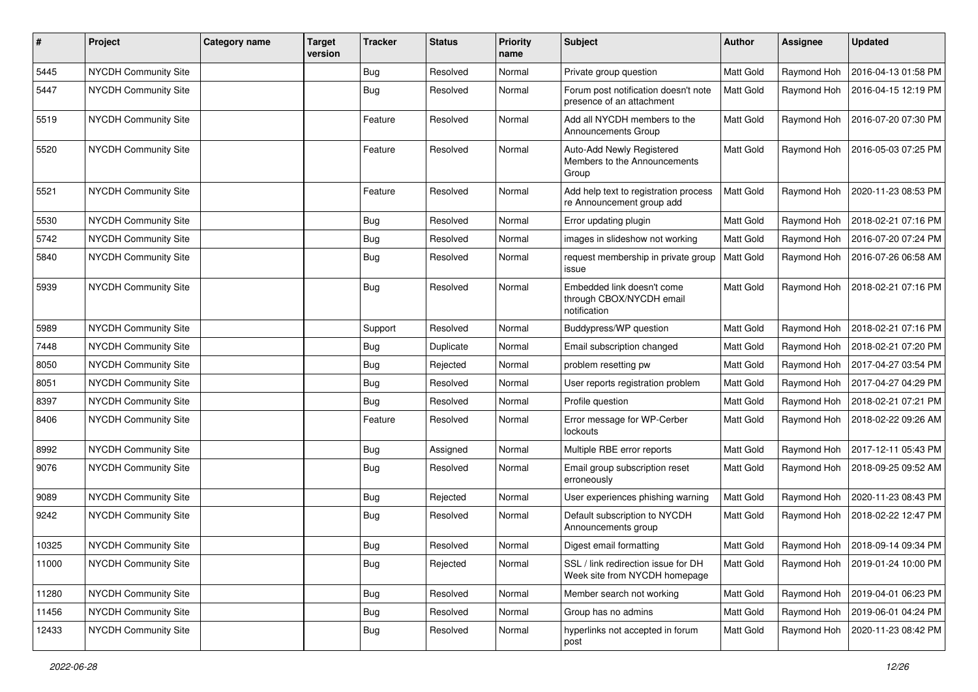| $\pmb{\#}$ | Project                     | <b>Category name</b> | <b>Target</b><br>version | <b>Tracker</b> | <b>Status</b> | <b>Priority</b><br>name | <b>Subject</b>                                                         | Author           | <b>Assignee</b> | <b>Updated</b>      |
|------------|-----------------------------|----------------------|--------------------------|----------------|---------------|-------------------------|------------------------------------------------------------------------|------------------|-----------------|---------------------|
| 5445       | <b>NYCDH Community Site</b> |                      |                          | <b>Bug</b>     | Resolved      | Normal                  | Private group question                                                 | Matt Gold        | Raymond Hoh     | 2016-04-13 01:58 PM |
| 5447       | NYCDH Community Site        |                      |                          | <b>Bug</b>     | Resolved      | Normal                  | Forum post notification doesn't note<br>presence of an attachment      | <b>Matt Gold</b> | Raymond Hoh     | 2016-04-15 12:19 PM |
| 5519       | NYCDH Community Site        |                      |                          | Feature        | Resolved      | Normal                  | Add all NYCDH members to the<br><b>Announcements Group</b>             | Matt Gold        | Raymond Hoh     | 2016-07-20 07:30 PM |
| 5520       | NYCDH Community Site        |                      |                          | Feature        | Resolved      | Normal                  | Auto-Add Newly Registered<br>Members to the Announcements<br>Group     | Matt Gold        | Raymond Hoh     | 2016-05-03 07:25 PM |
| 5521       | NYCDH Community Site        |                      |                          | Feature        | Resolved      | Normal                  | Add help text to registration process<br>re Announcement group add     | <b>Matt Gold</b> | Raymond Hoh     | 2020-11-23 08:53 PM |
| 5530       | NYCDH Community Site        |                      |                          | <b>Bug</b>     | Resolved      | Normal                  | Error updating plugin                                                  | Matt Gold        | Raymond Hoh     | 2018-02-21 07:16 PM |
| 5742       | NYCDH Community Site        |                      |                          | Bug            | Resolved      | Normal                  | images in slideshow not working                                        | Matt Gold        | Raymond Hoh     | 2016-07-20 07:24 PM |
| 5840       | NYCDH Community Site        |                      |                          | <b>Bug</b>     | Resolved      | Normal                  | request membership in private group<br>issue                           | <b>Matt Gold</b> | Raymond Hoh     | 2016-07-26 06:58 AM |
| 5939       | NYCDH Community Site        |                      |                          | <b>Bug</b>     | Resolved      | Normal                  | Embedded link doesn't come<br>through CBOX/NYCDH email<br>notification | Matt Gold        | Raymond Hoh     | 2018-02-21 07:16 PM |
| 5989       | NYCDH Community Site        |                      |                          | Support        | Resolved      | Normal                  | Buddypress/WP question                                                 | Matt Gold        | Raymond Hoh     | 2018-02-21 07:16 PM |
| 7448       | NYCDH Community Site        |                      |                          | <b>Bug</b>     | Duplicate     | Normal                  | Email subscription changed                                             | Matt Gold        | Raymond Hoh     | 2018-02-21 07:20 PM |
| 8050       | NYCDH Community Site        |                      |                          | Bug            | Rejected      | Normal                  | problem resetting pw                                                   | Matt Gold        | Raymond Hoh     | 2017-04-27 03:54 PM |
| 8051       | NYCDH Community Site        |                      |                          | Bug            | Resolved      | Normal                  | User reports registration problem                                      | Matt Gold        | Raymond Hoh     | 2017-04-27 04:29 PM |
| 8397       | NYCDH Community Site        |                      |                          | Bug            | Resolved      | Normal                  | Profile question                                                       | Matt Gold        | Raymond Hoh     | 2018-02-21 07:21 PM |
| 8406       | NYCDH Community Site        |                      |                          | Feature        | Resolved      | Normal                  | Error message for WP-Cerber<br>lockouts                                | Matt Gold        | Raymond Hoh     | 2018-02-22 09:26 AM |
| 8992       | NYCDH Community Site        |                      |                          | <b>Bug</b>     | Assigned      | Normal                  | Multiple RBE error reports                                             | Matt Gold        | Raymond Hoh     | 2017-12-11 05:43 PM |
| 9076       | NYCDH Community Site        |                      |                          | <b>Bug</b>     | Resolved      | Normal                  | Email group subscription reset<br>erroneously                          | Matt Gold        | Raymond Hoh     | 2018-09-25 09:52 AM |
| 9089       | <b>NYCDH Community Site</b> |                      |                          | <b>Bug</b>     | Rejected      | Normal                  | User experiences phishing warning                                      | Matt Gold        | Raymond Hoh     | 2020-11-23 08:43 PM |
| 9242       | NYCDH Community Site        |                      |                          | <b>Bug</b>     | Resolved      | Normal                  | Default subscription to NYCDH<br>Announcements group                   | Matt Gold        | Raymond Hoh     | 2018-02-22 12:47 PM |
| 10325      | <b>NYCDH Community Site</b> |                      |                          | <b>Bug</b>     | Resolved      | Normal                  | Digest email formatting                                                | Matt Gold        | Raymond Hoh     | 2018-09-14 09:34 PM |
| 11000      | NYCDH Community Site        |                      |                          | <b>Bug</b>     | Rejected      | Normal                  | SSL / link redirection issue for DH<br>Week site from NYCDH homepage   | Matt Gold        | Raymond Hoh     | 2019-01-24 10:00 PM |
| 11280      | NYCDH Community Site        |                      |                          | Bug            | Resolved      | Normal                  | Member search not working                                              | Matt Gold        | Raymond Hoh     | 2019-04-01 06:23 PM |
| 11456      | <b>NYCDH Community Site</b> |                      |                          | Bug            | Resolved      | Normal                  | Group has no admins                                                    | Matt Gold        | Raymond Hoh     | 2019-06-01 04:24 PM |
| 12433      | <b>NYCDH Community Site</b> |                      |                          | Bug            | Resolved      | Normal                  | hyperlinks not accepted in forum<br>post                               | Matt Gold        | Raymond Hoh     | 2020-11-23 08:42 PM |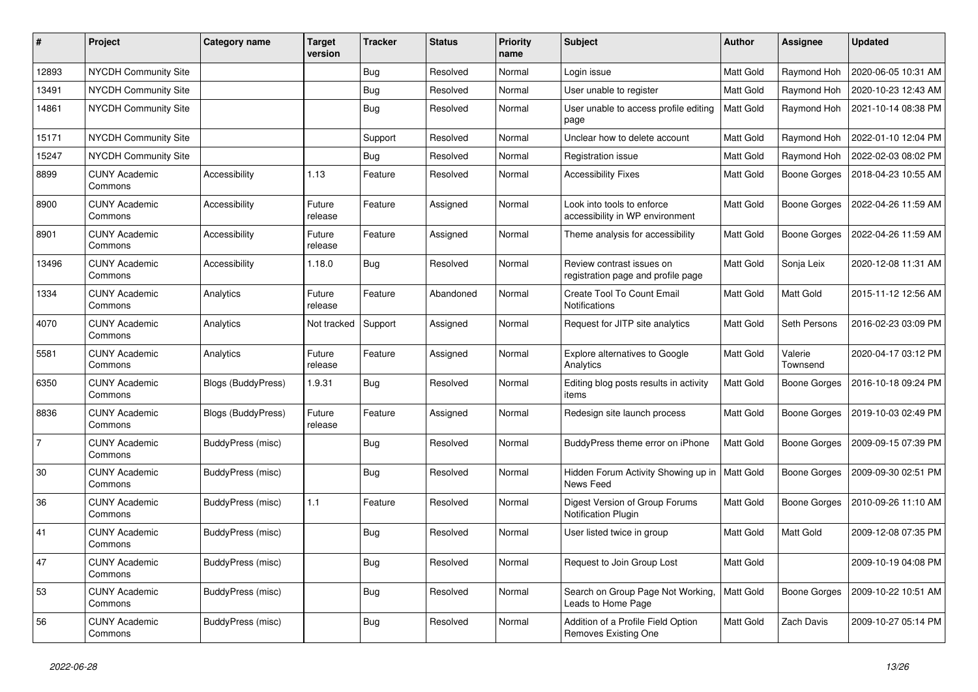| #              | Project                         | Category name      | <b>Target</b><br>version | <b>Tracker</b> | <b>Status</b> | <b>Priority</b><br>name | <b>Subject</b>                                                  | <b>Author</b>    | <b>Assignee</b>     | <b>Updated</b>      |
|----------------|---------------------------------|--------------------|--------------------------|----------------|---------------|-------------------------|-----------------------------------------------------------------|------------------|---------------------|---------------------|
| 12893          | NYCDH Community Site            |                    |                          | <b>Bug</b>     | Resolved      | Normal                  | Login issue                                                     | <b>Matt Gold</b> | Raymond Hoh         | 2020-06-05 10:31 AM |
| 13491          | <b>NYCDH Community Site</b>     |                    |                          | <b>Bug</b>     | Resolved      | Normal                  | User unable to register                                         | <b>Matt Gold</b> | Raymond Hoh         | 2020-10-23 12:43 AM |
| 14861          | <b>NYCDH Community Site</b>     |                    |                          | <b>Bug</b>     | Resolved      | Normal                  | User unable to access profile editing<br>page                   | Matt Gold        | Raymond Hoh         | 2021-10-14 08:38 PM |
| 15171          | NYCDH Community Site            |                    |                          | Support        | Resolved      | Normal                  | Unclear how to delete account                                   | Matt Gold        | Raymond Hoh         | 2022-01-10 12:04 PM |
| 15247          | NYCDH Community Site            |                    |                          | <b>Bug</b>     | Resolved      | Normal                  | Registration issue                                              | Matt Gold        | Raymond Hoh         | 2022-02-03 08:02 PM |
| 8899           | <b>CUNY Academic</b><br>Commons | Accessibility      | 1.13                     | Feature        | Resolved      | Normal                  | <b>Accessibility Fixes</b>                                      | Matt Gold        | Boone Gorges        | 2018-04-23 10:55 AM |
| 8900           | <b>CUNY Academic</b><br>Commons | Accessibility      | Future<br>release        | Feature        | Assigned      | Normal                  | Look into tools to enforce<br>accessibility in WP environment   | Matt Gold        | Boone Gorges        | 2022-04-26 11:59 AM |
| 8901           | <b>CUNY Academic</b><br>Commons | Accessibility      | Future<br>release        | Feature        | Assigned      | Normal                  | Theme analysis for accessibility                                | Matt Gold        | Boone Gorges        | 2022-04-26 11:59 AM |
| 13496          | <b>CUNY Academic</b><br>Commons | Accessibility      | 1.18.0                   | Bug            | Resolved      | Normal                  | Review contrast issues on<br>registration page and profile page | Matt Gold        | Sonja Leix          | 2020-12-08 11:31 AM |
| 1334           | <b>CUNY Academic</b><br>Commons | Analytics          | Future<br>release        | Feature        | Abandoned     | Normal                  | Create Tool To Count Email<br>Notifications                     | <b>Matt Gold</b> | Matt Gold           | 2015-11-12 12:56 AM |
| 4070           | <b>CUNY Academic</b><br>Commons | Analytics          | Not tracked              | Support        | Assigned      | Normal                  | Request for JITP site analytics                                 | <b>Matt Gold</b> | Seth Persons        | 2016-02-23 03:09 PM |
| 5581           | <b>CUNY Academic</b><br>Commons | Analytics          | Future<br>release        | Feature        | Assigned      | Normal                  | Explore alternatives to Google<br>Analytics                     | Matt Gold        | Valerie<br>Townsend | 2020-04-17 03:12 PM |
| 6350           | <b>CUNY Academic</b><br>Commons | Blogs (BuddyPress) | 1.9.31                   | <b>Bug</b>     | Resolved      | Normal                  | Editing blog posts results in activity<br>items                 | Matt Gold        | Boone Gorges        | 2016-10-18 09:24 PM |
| 8836           | <b>CUNY Academic</b><br>Commons | Blogs (BuddyPress) | Future<br>release        | Feature        | Assigned      | Normal                  | Redesign site launch process                                    | <b>Matt Gold</b> | Boone Gorges        | 2019-10-03 02:49 PM |
| $\overline{7}$ | <b>CUNY Academic</b><br>Commons | BuddyPress (misc)  |                          | <b>Bug</b>     | Resolved      | Normal                  | BuddyPress theme error on iPhone                                | Matt Gold        | Boone Gorges        | 2009-09-15 07:39 PM |
| 30             | <b>CUNY Academic</b><br>Commons | BuddyPress (misc)  |                          | <b>Bug</b>     | Resolved      | Normal                  | Hidden Forum Activity Showing up in<br>News Feed                | <b>Matt Gold</b> | Boone Gorges        | 2009-09-30 02:51 PM |
| 36             | <b>CUNY Academic</b><br>Commons | BuddyPress (misc)  | 1.1                      | Feature        | Resolved      | Normal                  | Digest Version of Group Forums<br><b>Notification Plugin</b>    | Matt Gold        | Boone Gorges        | 2010-09-26 11:10 AM |
| 41             | <b>CUNY Academic</b><br>Commons | BuddyPress (misc)  |                          | Bug            | Resolved      | Normal                  | User listed twice in group                                      | Matt Gold        | Matt Gold           | 2009-12-08 07:35 PM |
| 47             | <b>CUNY Academic</b><br>Commons | BuddyPress (misc)  |                          | <b>Bug</b>     | Resolved      | Normal                  | Request to Join Group Lost                                      | Matt Gold        |                     | 2009-10-19 04:08 PM |
| 53             | <b>CUNY Academic</b><br>Commons | BuddyPress (misc)  |                          | <b>Bug</b>     | Resolved      | Normal                  | Search on Group Page Not Working,<br>Leads to Home Page         | <b>Matt Gold</b> | Boone Gorges        | 2009-10-22 10:51 AM |
| 56             | <b>CUNY Academic</b><br>Commons | BuddyPress (misc)  |                          | <b>Bug</b>     | Resolved      | Normal                  | Addition of a Profile Field Option<br>Removes Existing One      | Matt Gold        | Zach Davis          | 2009-10-27 05:14 PM |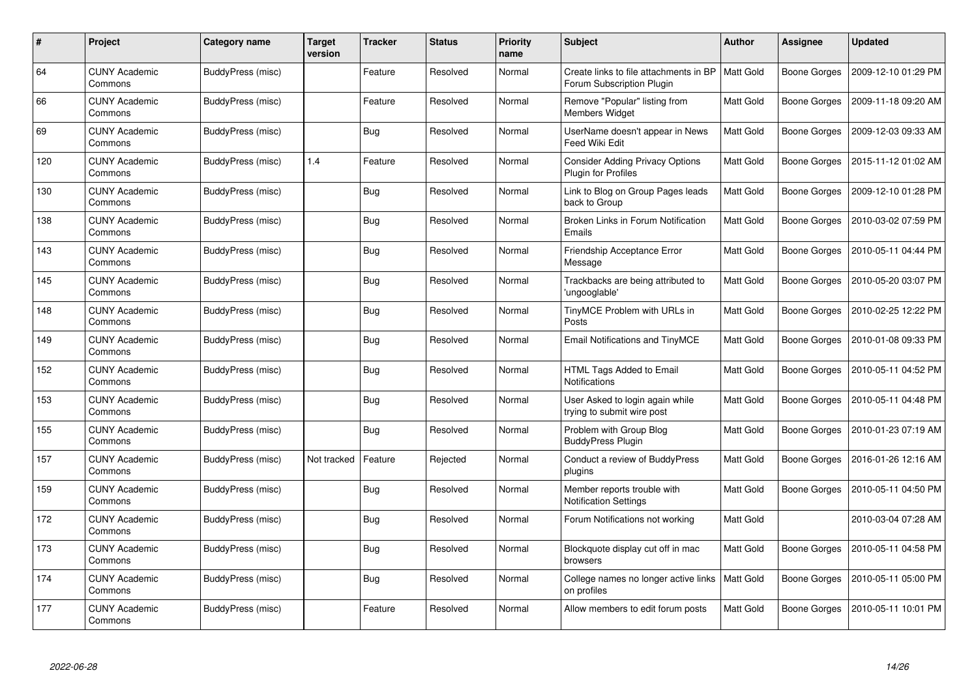| $\#$ | Project                         | <b>Category name</b> | <b>Target</b><br>version | <b>Tracker</b> | <b>Status</b> | <b>Priority</b><br>name | <b>Subject</b>                                                       | <b>Author</b>    | <b>Assignee</b>     | <b>Updated</b>      |
|------|---------------------------------|----------------------|--------------------------|----------------|---------------|-------------------------|----------------------------------------------------------------------|------------------|---------------------|---------------------|
| 64   | <b>CUNY Academic</b><br>Commons | BuddyPress (misc)    |                          | Feature        | Resolved      | Normal                  | Create links to file attachments in BP<br>Forum Subscription Plugin  | <b>Matt Gold</b> | <b>Boone Gorges</b> | 2009-12-10 01:29 PM |
| 66   | <b>CUNY Academic</b><br>Commons | BuddyPress (misc)    |                          | Feature        | Resolved      | Normal                  | Remove "Popular" listing from<br><b>Members Widget</b>               | Matt Gold        | <b>Boone Gorges</b> | 2009-11-18 09:20 AM |
| 69   | <b>CUNY Academic</b><br>Commons | BuddyPress (misc)    |                          | <b>Bug</b>     | Resolved      | Normal                  | UserName doesn't appear in News<br>Feed Wiki Edit                    | <b>Matt Gold</b> | <b>Boone Gorges</b> | 2009-12-03 09:33 AM |
| 120  | <b>CUNY Academic</b><br>Commons | BuddyPress (misc)    | 1.4                      | Feature        | Resolved      | Normal                  | <b>Consider Adding Privacy Options</b><br><b>Plugin for Profiles</b> | Matt Gold        | Boone Gorges        | 2015-11-12 01:02 AM |
| 130  | <b>CUNY Academic</b><br>Commons | BuddyPress (misc)    |                          | <b>Bug</b>     | Resolved      | Normal                  | Link to Blog on Group Pages leads<br>back to Group                   | Matt Gold        | <b>Boone Gorges</b> | 2009-12-10 01:28 PM |
| 138  | <b>CUNY Academic</b><br>Commons | BuddyPress (misc)    |                          | Bug            | Resolved      | Normal                  | Broken Links in Forum Notification<br>Emails                         | Matt Gold        | Boone Gorges        | 2010-03-02 07:59 PM |
| 143  | <b>CUNY Academic</b><br>Commons | BuddyPress (misc)    |                          | <b>Bug</b>     | Resolved      | Normal                  | Friendship Acceptance Error<br>Message                               | <b>Matt Gold</b> | Boone Gorges        | 2010-05-11 04:44 PM |
| 145  | <b>CUNY Academic</b><br>Commons | BuddyPress (misc)    |                          | Bug            | Resolved      | Normal                  | Trackbacks are being attributed to<br>'ungooglable'                  | Matt Gold        | Boone Gorges        | 2010-05-20 03:07 PM |
| 148  | <b>CUNY Academic</b><br>Commons | BuddyPress (misc)    |                          | <b>Bug</b>     | Resolved      | Normal                  | TinyMCE Problem with URLs in<br>Posts                                | Matt Gold        | <b>Boone Gorges</b> | 2010-02-25 12:22 PM |
| 149  | <b>CUNY Academic</b><br>Commons | BuddyPress (misc)    |                          | Bug            | Resolved      | Normal                  | <b>Email Notifications and TinyMCE</b>                               | <b>Matt Gold</b> | <b>Boone Gorges</b> | 2010-01-08 09:33 PM |
| 152  | <b>CUNY Academic</b><br>Commons | BuddyPress (misc)    |                          | <b>Bug</b>     | Resolved      | Normal                  | HTML Tags Added to Email<br><b>Notifications</b>                     | Matt Gold        | Boone Gorges        | 2010-05-11 04:52 PM |
| 153  | <b>CUNY Academic</b><br>Commons | BuddyPress (misc)    |                          | <b>Bug</b>     | Resolved      | Normal                  | User Asked to login again while<br>trying to submit wire post        | Matt Gold        | Boone Gorges        | 2010-05-11 04:48 PM |
| 155  | <b>CUNY Academic</b><br>Commons | BuddyPress (misc)    |                          | <b>Bug</b>     | Resolved      | Normal                  | Problem with Group Blog<br><b>BuddyPress Plugin</b>                  | <b>Matt Gold</b> | <b>Boone Gorges</b> | 2010-01-23 07:19 AM |
| 157  | <b>CUNY Academic</b><br>Commons | BuddyPress (misc)    | Not tracked              | Feature        | Rejected      | Normal                  | Conduct a review of BuddyPress<br>plugins                            | Matt Gold        | Boone Gorges        | 2016-01-26 12:16 AM |
| 159  | <b>CUNY Academic</b><br>Commons | BuddyPress (misc)    |                          | <b>Bug</b>     | Resolved      | Normal                  | Member reports trouble with<br><b>Notification Settings</b>          | Matt Gold        | Boone Gorges        | 2010-05-11 04:50 PM |
| 172  | <b>CUNY Academic</b><br>Commons | BuddyPress (misc)    |                          | <b>Bug</b>     | Resolved      | Normal                  | Forum Notifications not working                                      | Matt Gold        |                     | 2010-03-04 07:28 AM |
| 173  | <b>CUNY Academic</b><br>Commons | BuddyPress (misc)    |                          | Bug            | Resolved      | Normal                  | Blockquote display cut off in mac<br>browsers                        | Matt Gold        | <b>Boone Gorges</b> | 2010-05-11 04:58 PM |
| 174  | <b>CUNY Academic</b><br>Commons | BuddyPress (misc)    |                          | Bug            | Resolved      | Normal                  | College names no longer active links<br>on profiles                  | <b>Matt Gold</b> | Boone Gorges        | 2010-05-11 05:00 PM |
| 177  | <b>CUNY Academic</b><br>Commons | BuddyPress (misc)    |                          | Feature        | Resolved      | Normal                  | Allow members to edit forum posts                                    | Matt Gold        | Boone Gorges        | 2010-05-11 10:01 PM |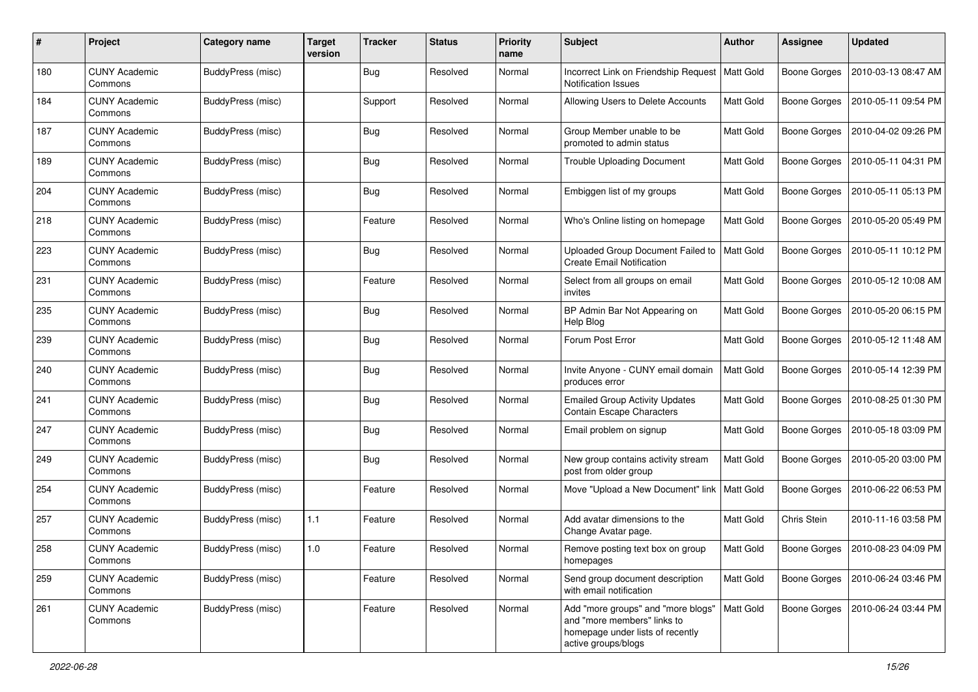| #   | Project                         | <b>Category name</b> | <b>Target</b><br>version | <b>Tracker</b> | <b>Status</b> | <b>Priority</b><br>name | Subject                                                                                                                      | <b>Author</b>    | <b>Assignee</b>     | <b>Updated</b>      |
|-----|---------------------------------|----------------------|--------------------------|----------------|---------------|-------------------------|------------------------------------------------------------------------------------------------------------------------------|------------------|---------------------|---------------------|
| 180 | <b>CUNY Academic</b><br>Commons | BuddyPress (misc)    |                          | <b>Bug</b>     | Resolved      | Normal                  | Incorrect Link on Friendship Request<br><b>Notification Issues</b>                                                           | Matt Gold        | <b>Boone Gorges</b> | 2010-03-13 08:47 AM |
| 184 | <b>CUNY Academic</b><br>Commons | BuddyPress (misc)    |                          | Support        | Resolved      | Normal                  | Allowing Users to Delete Accounts                                                                                            | Matt Gold        | <b>Boone Gorges</b> | 2010-05-11 09:54 PM |
| 187 | <b>CUNY Academic</b><br>Commons | BuddyPress (misc)    |                          | <b>Bug</b>     | Resolved      | Normal                  | Group Member unable to be<br>promoted to admin status                                                                        | Matt Gold        | Boone Gorges        | 2010-04-02 09:26 PM |
| 189 | <b>CUNY Academic</b><br>Commons | BuddyPress (misc)    |                          | <b>Bug</b>     | Resolved      | Normal                  | <b>Trouble Uploading Document</b>                                                                                            | Matt Gold        | <b>Boone Gorges</b> | 2010-05-11 04:31 PM |
| 204 | <b>CUNY Academic</b><br>Commons | BuddyPress (misc)    |                          | <b>Bug</b>     | Resolved      | Normal                  | Embiggen list of my groups                                                                                                   | Matt Gold        | <b>Boone Gorges</b> | 2010-05-11 05:13 PM |
| 218 | <b>CUNY Academic</b><br>Commons | BuddyPress (misc)    |                          | Feature        | Resolved      | Normal                  | Who's Online listing on homepage                                                                                             | Matt Gold        | <b>Boone Gorges</b> | 2010-05-20 05:49 PM |
| 223 | <b>CUNY Academic</b><br>Commons | BuddyPress (misc)    |                          | <b>Bug</b>     | Resolved      | Normal                  | Uploaded Group Document Failed to<br><b>Create Email Notification</b>                                                        | Matt Gold        | Boone Gorges        | 2010-05-11 10:12 PM |
| 231 | <b>CUNY Academic</b><br>Commons | BuddyPress (misc)    |                          | Feature        | Resolved      | Normal                  | Select from all groups on email<br>invites                                                                                   | Matt Gold        | <b>Boone Gorges</b> | 2010-05-12 10:08 AM |
| 235 | <b>CUNY Academic</b><br>Commons | BuddyPress (misc)    |                          | <b>Bug</b>     | Resolved      | Normal                  | BP Admin Bar Not Appearing on<br>Help Blog                                                                                   | <b>Matt Gold</b> | <b>Boone Gorges</b> | 2010-05-20 06:15 PM |
| 239 | <b>CUNY Academic</b><br>Commons | BuddyPress (misc)    |                          | <b>Bug</b>     | Resolved      | Normal                  | Forum Post Error                                                                                                             | Matt Gold        | <b>Boone Gorges</b> | 2010-05-12 11:48 AM |
| 240 | <b>CUNY Academic</b><br>Commons | BuddyPress (misc)    |                          | <b>Bug</b>     | Resolved      | Normal                  | Invite Anyone - CUNY email domain<br>produces error                                                                          | Matt Gold        | <b>Boone Gorges</b> | 2010-05-14 12:39 PM |
| 241 | <b>CUNY Academic</b><br>Commons | BuddyPress (misc)    |                          | Bug            | Resolved      | Normal                  | <b>Emailed Group Activity Updates</b><br><b>Contain Escape Characters</b>                                                    | Matt Gold        | <b>Boone Gorges</b> | 2010-08-25 01:30 PM |
| 247 | <b>CUNY Academic</b><br>Commons | BuddyPress (misc)    |                          | <b>Bug</b>     | Resolved      | Normal                  | Email problem on signup                                                                                                      | Matt Gold        | <b>Boone Gorges</b> | 2010-05-18 03:09 PM |
| 249 | <b>CUNY Academic</b><br>Commons | BuddyPress (misc)    |                          | <b>Bug</b>     | Resolved      | Normal                  | New group contains activity stream<br>post from older group                                                                  | Matt Gold        | Boone Gorges        | 2010-05-20 03:00 PM |
| 254 | <b>CUNY Academic</b><br>Commons | BuddyPress (misc)    |                          | Feature        | Resolved      | Normal                  | Move "Upload a New Document" link                                                                                            | Matt Gold        | <b>Boone Gorges</b> | 2010-06-22 06:53 PM |
| 257 | <b>CUNY Academic</b><br>Commons | BuddyPress (misc)    | 1.1                      | Feature        | Resolved      | Normal                  | Add avatar dimensions to the<br>Change Avatar page.                                                                          | Matt Gold        | Chris Stein         | 2010-11-16 03:58 PM |
| 258 | <b>CUNY Academic</b><br>Commons | BuddyPress (misc)    | 1.0                      | Feature        | Resolved      | Normal                  | Remove posting text box on group<br>homepages                                                                                | Matt Gold        | <b>Boone Gorges</b> | 2010-08-23 04:09 PM |
| 259 | <b>CUNY Academic</b><br>Commons | BuddyPress (misc)    |                          | Feature        | Resolved      | Normal                  | Send group document description<br>with email notification                                                                   | Matt Gold        | <b>Boone Gorges</b> | 2010-06-24 03:46 PM |
| 261 | <b>CUNY Academic</b><br>Commons | BuddyPress (misc)    |                          | Feature        | Resolved      | Normal                  | Add "more groups" and "more blogs"<br>and "more members" links to<br>homepage under lists of recently<br>active groups/blogs | Matt Gold        | Boone Gorges        | 2010-06-24 03:44 PM |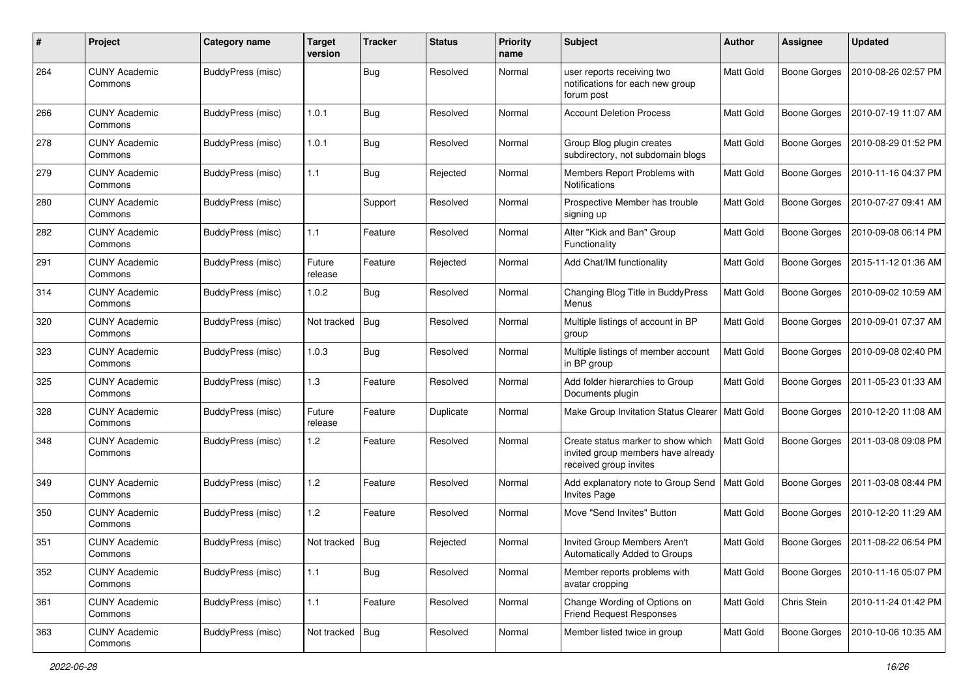| #   | Project                         | Category name     | <b>Target</b><br>version | <b>Tracker</b> | <b>Status</b> | <b>Priority</b><br>name | <b>Subject</b>                                                                                     | Author           | <b>Assignee</b>     | <b>Updated</b>      |
|-----|---------------------------------|-------------------|--------------------------|----------------|---------------|-------------------------|----------------------------------------------------------------------------------------------------|------------------|---------------------|---------------------|
| 264 | <b>CUNY Academic</b><br>Commons | BuddyPress (misc) |                          | Bug            | Resolved      | Normal                  | user reports receiving two<br>notifications for each new group<br>forum post                       | Matt Gold        | <b>Boone Gorges</b> | 2010-08-26 02:57 PM |
| 266 | <b>CUNY Academic</b><br>Commons | BuddyPress (misc) | 1.0.1                    | Bug            | Resolved      | Normal                  | <b>Account Deletion Process</b>                                                                    | Matt Gold        | <b>Boone Gorges</b> | 2010-07-19 11:07 AM |
| 278 | <b>CUNY Academic</b><br>Commons | BuddyPress (misc) | 1.0.1                    | <b>Bug</b>     | Resolved      | Normal                  | Group Blog plugin creates<br>subdirectory, not subdomain blogs                                     | Matt Gold        | <b>Boone Gorges</b> | 2010-08-29 01:52 PM |
| 279 | <b>CUNY Academic</b><br>Commons | BuddyPress (misc) | 1.1                      | <b>Bug</b>     | Rejected      | Normal                  | Members Report Problems with<br>Notifications                                                      | Matt Gold        | <b>Boone Gorges</b> | 2010-11-16 04:37 PM |
| 280 | <b>CUNY Academic</b><br>Commons | BuddyPress (misc) |                          | Support        | Resolved      | Normal                  | Prospective Member has trouble<br>signing up                                                       | Matt Gold        | <b>Boone Gorges</b> | 2010-07-27 09:41 AM |
| 282 | <b>CUNY Academic</b><br>Commons | BuddyPress (misc) | 1.1                      | Feature        | Resolved      | Normal                  | Alter "Kick and Ban" Group<br>Functionality                                                        | Matt Gold        | <b>Boone Gorges</b> | 2010-09-08 06:14 PM |
| 291 | <b>CUNY Academic</b><br>Commons | BuddyPress (misc) | Future<br>release        | Feature        | Rejected      | Normal                  | Add Chat/IM functionality                                                                          | Matt Gold        | <b>Boone Gorges</b> | 2015-11-12 01:36 AM |
| 314 | <b>CUNY Academic</b><br>Commons | BuddyPress (misc) | 1.0.2                    | Bug            | Resolved      | Normal                  | Changing Blog Title in BuddyPress<br>Menus                                                         | <b>Matt Gold</b> | <b>Boone Gorges</b> | 2010-09-02 10:59 AM |
| 320 | <b>CUNY Academic</b><br>Commons | BuddyPress (misc) | Not tracked              | Bug            | Resolved      | Normal                  | Multiple listings of account in BP<br>group                                                        | Matt Gold        | <b>Boone Gorges</b> | 2010-09-01 07:37 AM |
| 323 | <b>CUNY Academic</b><br>Commons | BuddyPress (misc) | 1.0.3                    | <b>Bug</b>     | Resolved      | Normal                  | Multiple listings of member account<br>in BP group                                                 | Matt Gold        | <b>Boone Gorges</b> | 2010-09-08 02:40 PM |
| 325 | <b>CUNY Academic</b><br>Commons | BuddyPress (misc) | 1.3                      | Feature        | Resolved      | Normal                  | Add folder hierarchies to Group<br>Documents plugin                                                | Matt Gold        | <b>Boone Gorges</b> | 2011-05-23 01:33 AM |
| 328 | <b>CUNY Academic</b><br>Commons | BuddyPress (misc) | Future<br>release        | Feature        | Duplicate     | Normal                  | Make Group Invitation Status Clearer   Matt Gold                                                   |                  | <b>Boone Gorges</b> | 2010-12-20 11:08 AM |
| 348 | <b>CUNY Academic</b><br>Commons | BuddyPress (misc) | 1.2                      | Feature        | Resolved      | Normal                  | Create status marker to show which<br>invited group members have already<br>received group invites | <b>Matt Gold</b> | <b>Boone Gorges</b> | 2011-03-08 09:08 PM |
| 349 | <b>CUNY Academic</b><br>Commons | BuddyPress (misc) | 1.2                      | Feature        | Resolved      | Normal                  | Add explanatory note to Group Send<br><b>Invites Page</b>                                          | Matt Gold        | <b>Boone Gorges</b> | 2011-03-08 08:44 PM |
| 350 | <b>CUNY Academic</b><br>Commons | BuddyPress (misc) | 1.2                      | Feature        | Resolved      | Normal                  | Move "Send Invites" Button                                                                         | Matt Gold        | <b>Boone Gorges</b> | 2010-12-20 11:29 AM |
| 351 | <b>CUNY Academic</b><br>Commons | BuddyPress (misc) | Not tracked   Bug        |                | Rejected      | Normal                  | Invited Group Members Aren't<br>Automatically Added to Groups                                      | Matt Gold        | Boone Gorges        | 2011-08-22 06:54 PM |
| 352 | <b>CUNY Academic</b><br>Commons | BuddyPress (misc) | $1.1$                    | <b>Bug</b>     | Resolved      | Normal                  | Member reports problems with<br>avatar cropping                                                    | Matt Gold        | <b>Boone Gorges</b> | 2010-11-16 05:07 PM |
| 361 | <b>CUNY Academic</b><br>Commons | BuddyPress (misc) | 1.1                      | Feature        | Resolved      | Normal                  | Change Wording of Options on<br><b>Friend Request Responses</b>                                    | Matt Gold        | Chris Stein         | 2010-11-24 01:42 PM |
| 363 | <b>CUNY Academic</b><br>Commons | BuddyPress (misc) | Not tracked   Bug        |                | Resolved      | Normal                  | Member listed twice in group                                                                       | Matt Gold        | Boone Gorges        | 2010-10-06 10:35 AM |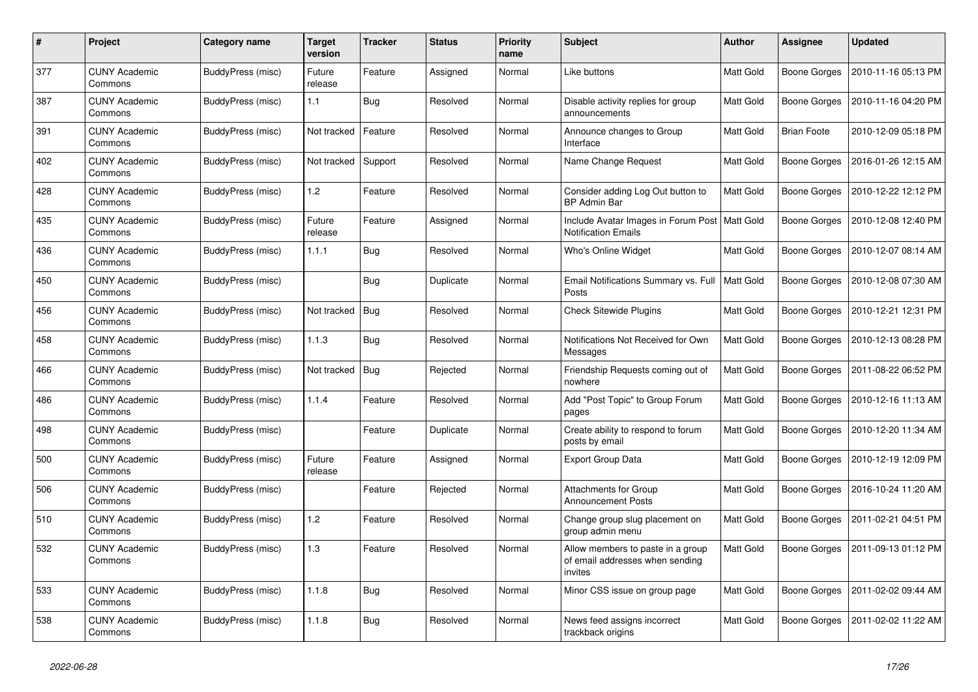| #   | Project                         | Category name     | Target<br>version | <b>Tracker</b> | <b>Status</b> | <b>Priority</b><br>name | Subject                                                                         | <b>Author</b>    | Assignee            | Updated             |
|-----|---------------------------------|-------------------|-------------------|----------------|---------------|-------------------------|---------------------------------------------------------------------------------|------------------|---------------------|---------------------|
| 377 | <b>CUNY Academic</b><br>Commons | BuddyPress (misc) | Future<br>release | Feature        | Assigned      | Normal                  | Like buttons                                                                    | Matt Gold        | <b>Boone Gorges</b> | 2010-11-16 05:13 PM |
| 387 | <b>CUNY Academic</b><br>Commons | BuddyPress (misc) | 1.1               | <b>Bug</b>     | Resolved      | Normal                  | Disable activity replies for group<br>announcements                             | Matt Gold        | Boone Gorges        | 2010-11-16 04:20 PM |
| 391 | <b>CUNY Academic</b><br>Commons | BuddyPress (misc) | Not tracked       | Feature        | Resolved      | Normal                  | Announce changes to Group<br>Interface                                          | Matt Gold        | <b>Brian Foote</b>  | 2010-12-09 05:18 PM |
| 402 | <b>CUNY Academic</b><br>Commons | BuddyPress (misc) | Not tracked       | Support        | Resolved      | Normal                  | Name Change Request                                                             | <b>Matt Gold</b> | <b>Boone Gorges</b> | 2016-01-26 12:15 AM |
| 428 | <b>CUNY Academic</b><br>Commons | BuddyPress (misc) | 1.2               | Feature        | Resolved      | Normal                  | Consider adding Log Out button to<br><b>BP Admin Bar</b>                        | Matt Gold        | Boone Gorges        | 2010-12-22 12:12 PM |
| 435 | <b>CUNY Academic</b><br>Commons | BuddyPress (misc) | Future<br>release | Feature        | Assigned      | Normal                  | Include Avatar Images in Forum Post<br><b>Notification Emails</b>               | <b>Matt Gold</b> | Boone Gorges        | 2010-12-08 12:40 PM |
| 436 | <b>CUNY Academic</b><br>Commons | BuddyPress (misc) | 1.1.1             | <b>Bug</b>     | Resolved      | Normal                  | Who's Online Widget                                                             | Matt Gold        | <b>Boone Gorges</b> | 2010-12-07 08:14 AM |
| 450 | <b>CUNY Academic</b><br>Commons | BuddyPress (misc) |                   | <b>Bug</b>     | Duplicate     | Normal                  | Email Notifications Summary vs. Full<br>Posts                                   | <b>Matt Gold</b> | Boone Gorges        | 2010-12-08 07:30 AM |
| 456 | <b>CUNY Academic</b><br>Commons | BuddyPress (misc) | Not tracked       | <b>Bug</b>     | Resolved      | Normal                  | <b>Check Sitewide Plugins</b>                                                   | Matt Gold        | <b>Boone Gorges</b> | 2010-12-21 12:31 PM |
| 458 | <b>CUNY Academic</b><br>Commons | BuddyPress (misc) | 1.1.3             | Bug            | Resolved      | Normal                  | Notifications Not Received for Own<br>Messages                                  | Matt Gold        | Boone Gorges        | 2010-12-13 08:28 PM |
| 466 | <b>CUNY Academic</b><br>Commons | BuddyPress (misc) | Not tracked       | <b>Bug</b>     | Rejected      | Normal                  | Friendship Requests coming out of<br>nowhere                                    | Matt Gold        | <b>Boone Gorges</b> | 2011-08-22 06:52 PM |
| 486 | <b>CUNY Academic</b><br>Commons | BuddyPress (misc) | 1.1.4             | Feature        | Resolved      | Normal                  | Add "Post Topic" to Group Forum<br>pages                                        | Matt Gold        | Boone Gorges        | 2010-12-16 11:13 AM |
| 498 | <b>CUNY Academic</b><br>Commons | BuddyPress (misc) |                   | Feature        | Duplicate     | Normal                  | Create ability to respond to forum<br>posts by email                            | Matt Gold        | Boone Gorges        | 2010-12-20 11:34 AM |
| 500 | <b>CUNY Academic</b><br>Commons | BuddyPress (misc) | Future<br>release | Feature        | Assigned      | Normal                  | <b>Export Group Data</b>                                                        | Matt Gold        | Boone Gorges        | 2010-12-19 12:09 PM |
| 506 | <b>CUNY Academic</b><br>Commons | BuddyPress (misc) |                   | Feature        | Rejected      | Normal                  | <b>Attachments for Group</b><br><b>Announcement Posts</b>                       | Matt Gold        | <b>Boone Gorges</b> | 2016-10-24 11:20 AM |
| 510 | <b>CUNY Academic</b><br>Commons | BuddyPress (misc) | $\overline{2}$    | Feature        | Resolved      | Normal                  | Change group slug placement on<br>group admin menu                              | Matt Gold        | Boone Gorges        | 2011-02-21 04:51 PM |
| 532 | <b>CUNY Academic</b><br>Commons | BuddyPress (misc) | $1.3$             | Feature        | Resolved      | Normal                  | Allow members to paste in a group<br>of email addresses when sending<br>invites | Matt Gold        | Boone Gorges        | 2011-09-13 01:12 PM |
| 533 | <b>CUNY Academic</b><br>Commons | BuddyPress (misc) | 1.1.8             | <b>Bug</b>     | Resolved      | Normal                  | Minor CSS issue on group page                                                   | Matt Gold        | Boone Gorges        | 2011-02-02 09:44 AM |
| 538 | <b>CUNY Academic</b><br>Commons | BuddyPress (misc) | 1.1.8             | Bug            | Resolved      | Normal                  | News feed assigns incorrect<br>trackback origins                                | Matt Gold        | <b>Boone Gorges</b> | 2011-02-02 11:22 AM |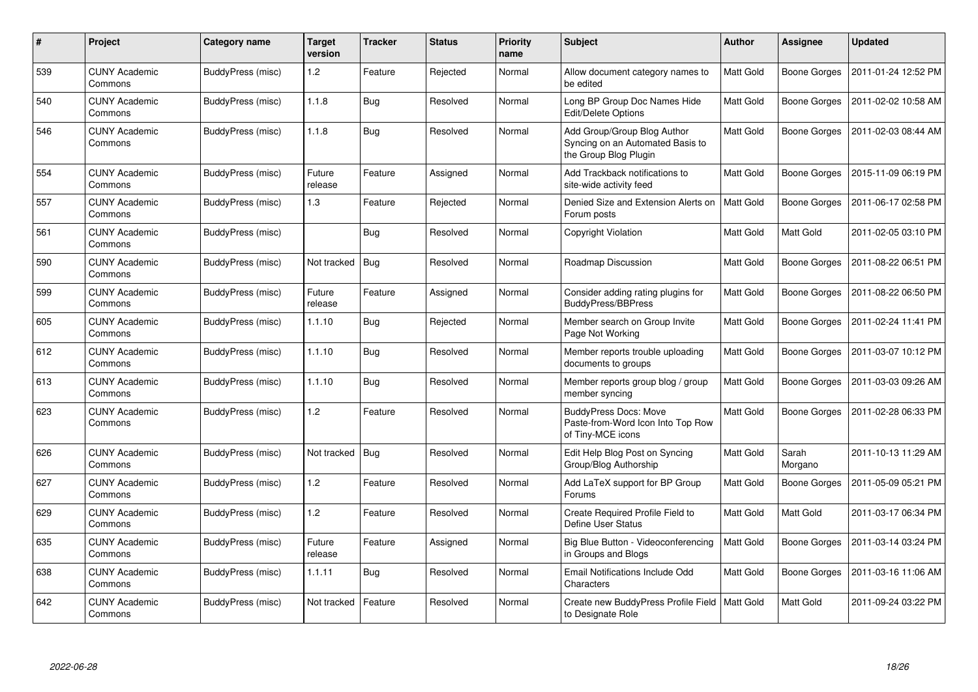| #   | Project                         | <b>Category name</b> | <b>Target</b><br>version | <b>Tracker</b> | <b>Status</b> | <b>Priority</b><br>name | <b>Subject</b>                                                                           | <b>Author</b>    | <b>Assignee</b>     | <b>Updated</b>      |
|-----|---------------------------------|----------------------|--------------------------|----------------|---------------|-------------------------|------------------------------------------------------------------------------------------|------------------|---------------------|---------------------|
| 539 | <b>CUNY Academic</b><br>Commons | BuddyPress (misc)    | 1.2                      | Feature        | Rejected      | Normal                  | Allow document category names to<br>be edited                                            | Matt Gold        | Boone Gorges        | 2011-01-24 12:52 PM |
| 540 | <b>CUNY Academic</b><br>Commons | BuddyPress (misc)    | 1.1.8                    | Bug            | Resolved      | Normal                  | Long BP Group Doc Names Hide<br>Edit/Delete Options                                      | Matt Gold        | Boone Gorges        | 2011-02-02 10:58 AM |
| 546 | <b>CUNY Academic</b><br>Commons | BuddyPress (misc)    | 1.1.8                    | Bug            | Resolved      | Normal                  | Add Group/Group Blog Author<br>Syncing on an Automated Basis to<br>the Group Blog Plugin | Matt Gold        | <b>Boone Gorges</b> | 2011-02-03 08:44 AM |
| 554 | <b>CUNY Academic</b><br>Commons | BuddyPress (misc)    | Future<br>release        | Feature        | Assigned      | Normal                  | Add Trackback notifications to<br>site-wide activity feed                                | Matt Gold        | Boone Gorges        | 2015-11-09 06:19 PM |
| 557 | <b>CUNY Academic</b><br>Commons | BuddyPress (misc)    | 1.3                      | Feature        | Rejected      | Normal                  | Denied Size and Extension Alerts on<br>Forum posts                                       | <b>Matt Gold</b> | <b>Boone Gorges</b> | 2011-06-17 02:58 PM |
| 561 | <b>CUNY Academic</b><br>Commons | BuddyPress (misc)    |                          | <b>Bug</b>     | Resolved      | Normal                  | Copyright Violation                                                                      | Matt Gold        | Matt Gold           | 2011-02-05 03:10 PM |
| 590 | <b>CUNY Academic</b><br>Commons | BuddyPress (misc)    | Not tracked              | <b>Bug</b>     | Resolved      | Normal                  | Roadmap Discussion                                                                       | Matt Gold        | Boone Gorges        | 2011-08-22 06:51 PM |
| 599 | <b>CUNY Academic</b><br>Commons | BuddyPress (misc)    | Future<br>release        | Feature        | Assigned      | Normal                  | Consider adding rating plugins for<br>BuddyPress/BBPress                                 | Matt Gold        | Boone Gorges        | 2011-08-22 06:50 PM |
| 605 | <b>CUNY Academic</b><br>Commons | BuddyPress (misc)    | 1.1.10                   | <b>Bug</b>     | Rejected      | Normal                  | Member search on Group Invite<br>Page Not Working                                        | Matt Gold        | <b>Boone Gorges</b> | 2011-02-24 11:41 PM |
| 612 | <b>CUNY Academic</b><br>Commons | BuddyPress (misc)    | 1.1.10                   | Bug            | Resolved      | Normal                  | Member reports trouble uploading<br>documents to groups                                  | Matt Gold        | <b>Boone Gorges</b> | 2011-03-07 10:12 PM |
| 613 | CUNY Academic<br>Commons        | BuddyPress (misc)    | 1.1.10                   | <b>Bug</b>     | Resolved      | Normal                  | Member reports group blog / group<br>member syncing                                      | Matt Gold        | <b>Boone Gorges</b> | 2011-03-03 09:26 AM |
| 623 | <b>CUNY Academic</b><br>Commons | BuddyPress (misc)    | 1.2 <sub>2</sub>         | Feature        | Resolved      | Normal                  | <b>BuddyPress Docs: Move</b><br>Paste-from-Word Icon Into Top Row<br>of Tiny-MCE icons   | Matt Gold        | <b>Boone Gorges</b> | 2011-02-28 06:33 PM |
| 626 | CUNY Academic<br>Commons        | BuddyPress (misc)    | Not tracked              | Bug            | Resolved      | Normal                  | Edit Help Blog Post on Syncing<br>Group/Blog Authorship                                  | Matt Gold        | Sarah<br>Morgano    | 2011-10-13 11:29 AM |
| 627 | <b>CUNY Academic</b><br>Commons | BuddyPress (misc)    | 1.2                      | Feature        | Resolved      | Normal                  | Add LaTeX support for BP Group<br>Forums                                                 | Matt Gold        | Boone Gorges        | 2011-05-09 05:21 PM |
| 629 | <b>CUNY Academic</b><br>Commons | BuddyPress (misc)    | 1.2                      | Feature        | Resolved      | Normal                  | Create Required Profile Field to<br><b>Define User Status</b>                            | Matt Gold        | Matt Gold           | 2011-03-17 06:34 PM |
| 635 | CUNY Academic<br>Commons        | BuddyPress (misc)    | Future<br>release        | Feature        | Assigned      | Normal                  | Big Blue Button - Videoconferencing<br>in Groups and Blogs                               | Matt Gold        | <b>Boone Gorges</b> | 2011-03-14 03:24 PM |
| 638 | <b>CUNY Academic</b><br>Commons | BuddyPress (misc)    | 1.1.11                   | <b>Bug</b>     | Resolved      | Normal                  | Email Notifications Include Odd<br>Characters                                            | Matt Gold        | <b>Boone Gorges</b> | 2011-03-16 11:06 AM |
| 642 | <b>CUNY Academic</b><br>Commons | BuddyPress (misc)    | Not tracked              | Feature        | Resolved      | Normal                  | Create new BuddyPress Profile Field   Matt Gold<br>to Designate Role                     |                  | Matt Gold           | 2011-09-24 03:22 PM |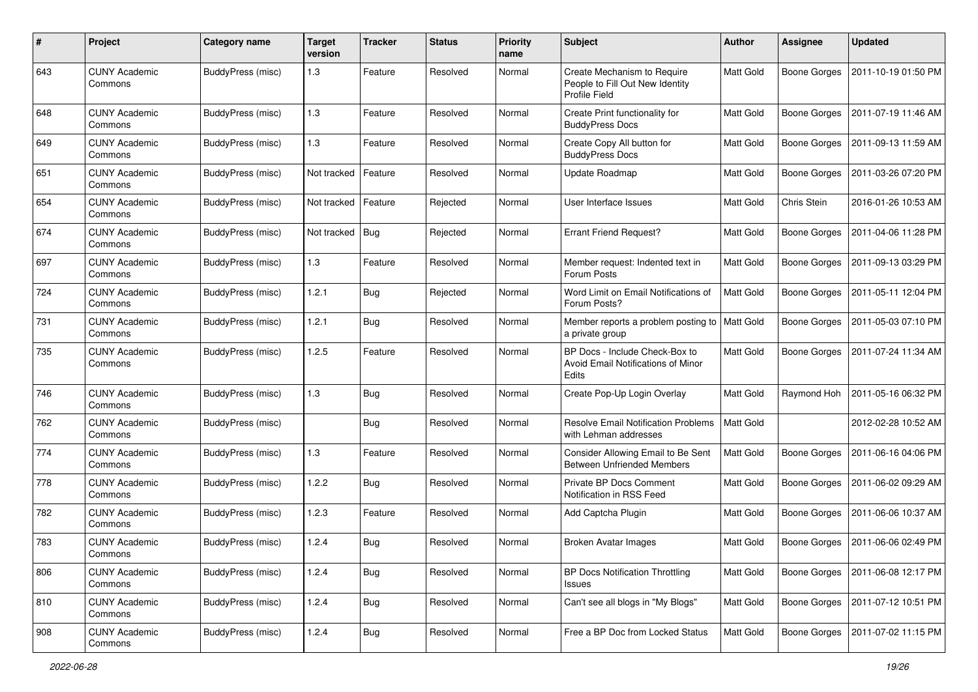| #   | Project                         | <b>Category name</b> | <b>Target</b><br>version | <b>Tracker</b> | <b>Status</b> | <b>Priority</b><br>name | <b>Subject</b>                                                                         | <b>Author</b>    | <b>Assignee</b>     | <b>Updated</b>      |
|-----|---------------------------------|----------------------|--------------------------|----------------|---------------|-------------------------|----------------------------------------------------------------------------------------|------------------|---------------------|---------------------|
| 643 | <b>CUNY Academic</b><br>Commons | BuddyPress (misc)    | 1.3                      | Feature        | Resolved      | Normal                  | Create Mechanism to Require<br>People to Fill Out New Identity<br><b>Profile Field</b> | Matt Gold        | <b>Boone Gorges</b> | 2011-10-19 01:50 PM |
| 648 | <b>CUNY Academic</b><br>Commons | BuddyPress (misc)    | 1.3                      | Feature        | Resolved      | Normal                  | Create Print functionality for<br><b>BuddyPress Docs</b>                               | <b>Matt Gold</b> | <b>Boone Gorges</b> | 2011-07-19 11:46 AM |
| 649 | <b>CUNY Academic</b><br>Commons | BuddyPress (misc)    | 1.3                      | Feature        | Resolved      | Normal                  | Create Copy All button for<br><b>BuddyPress Docs</b>                                   | Matt Gold        | <b>Boone Gorges</b> | 2011-09-13 11:59 AM |
| 651 | <b>CUNY Academic</b><br>Commons | BuddyPress (misc)    | Not tracked              | Feature        | Resolved      | Normal                  | Update Roadmap                                                                         | <b>Matt Gold</b> | <b>Boone Gorges</b> | 2011-03-26 07:20 PM |
| 654 | <b>CUNY Academic</b><br>Commons | BuddyPress (misc)    | Not tracked              | Feature        | Rejected      | Normal                  | User Interface Issues                                                                  | <b>Matt Gold</b> | Chris Stein         | 2016-01-26 10:53 AM |
| 674 | <b>CUNY Academic</b><br>Commons | BuddyPress (misc)    | Not tracked              | $ $ Bug        | Rejected      | Normal                  | <b>Errant Friend Request?</b>                                                          | Matt Gold        | <b>Boone Gorges</b> | 2011-04-06 11:28 PM |
| 697 | <b>CUNY Academic</b><br>Commons | BuddyPress (misc)    | 1.3                      | Feature        | Resolved      | Normal                  | Member request: Indented text in<br>Forum Posts                                        | Matt Gold        | <b>Boone Gorges</b> | 2011-09-13 03:29 PM |
| 724 | <b>CUNY Academic</b><br>Commons | BuddyPress (misc)    | 1.2.1                    | <b>Bug</b>     | Rejected      | Normal                  | Word Limit on Email Notifications of<br>Forum Posts?                                   | Matt Gold        | <b>Boone Gorges</b> | 2011-05-11 12:04 PM |
| 731 | <b>CUNY Academic</b><br>Commons | BuddyPress (misc)    | 1.2.1                    | Bug            | Resolved      | Normal                  | Member reports a problem posting to<br>a private group                                 | Matt Gold        | <b>Boone Gorges</b> | 2011-05-03 07:10 PM |
| 735 | <b>CUNY Academic</b><br>Commons | BuddyPress (misc)    | 1.2.5                    | Feature        | Resolved      | Normal                  | BP Docs - Include Check-Box to<br>Avoid Email Notifications of Minor<br>Edits          | Matt Gold        | <b>Boone Gorges</b> | 2011-07-24 11:34 AM |
| 746 | <b>CUNY Academic</b><br>Commons | BuddyPress (misc)    | 1.3                      | <b>Bug</b>     | Resolved      | Normal                  | Create Pop-Up Login Overlay                                                            | Matt Gold        | Raymond Hoh         | 2011-05-16 06:32 PM |
| 762 | <b>CUNY Academic</b><br>Commons | BuddyPress (misc)    |                          | <b>Bug</b>     | Resolved      | Normal                  | <b>Resolve Email Notification Problems</b><br>with Lehman addresses                    | Matt Gold        |                     | 2012-02-28 10:52 AM |
| 774 | <b>CUNY Academic</b><br>Commons | BuddyPress (misc)    | 1.3                      | Feature        | Resolved      | Normal                  | Consider Allowing Email to Be Sent<br><b>Between Unfriended Members</b>                | Matt Gold        | <b>Boone Gorges</b> | 2011-06-16 04:06 PM |
| 778 | <b>CUNY Academic</b><br>Commons | BuddyPress (misc)    | 1.2.2                    | Bug            | Resolved      | Normal                  | Private BP Docs Comment<br>Notification in RSS Feed                                    | <b>Matt Gold</b> | <b>Boone Gorges</b> | 2011-06-02 09:29 AM |
| 782 | <b>CUNY Academic</b><br>Commons | BuddyPress (misc)    | 1.2.3                    | Feature        | Resolved      | Normal                  | Add Captcha Plugin                                                                     | <b>Matt Gold</b> | <b>Boone Gorges</b> | 2011-06-06 10:37 AM |
| 783 | <b>CUNY Academic</b><br>Commons | BuddyPress (misc)    | 1.2.4                    | Bug            | Resolved      | Normal                  | <b>Broken Avatar Images</b>                                                            | Matt Gold        | Boone Gorges        | 2011-06-06 02:49 PM |
| 806 | <b>CUNY Academic</b><br>Commons | BuddyPress (misc)    | 1.2.4                    | <b>Bug</b>     | Resolved      | Normal                  | <b>BP Docs Notification Throttling</b><br>Issues                                       | Matt Gold        | <b>Boone Gorges</b> | 2011-06-08 12:17 PM |
| 810 | <b>CUNY Academic</b><br>Commons | BuddyPress (misc)    | 1.2.4                    | <b>Bug</b>     | Resolved      | Normal                  | Can't see all blogs in "My Blogs"                                                      | Matt Gold        | <b>Boone Gorges</b> | 2011-07-12 10:51 PM |
| 908 | <b>CUNY Academic</b><br>Commons | BuddyPress (misc)    | 1.2.4                    | <b>Bug</b>     | Resolved      | Normal                  | Free a BP Doc from Locked Status                                                       | Matt Gold        | <b>Boone Gorges</b> | 2011-07-02 11:15 PM |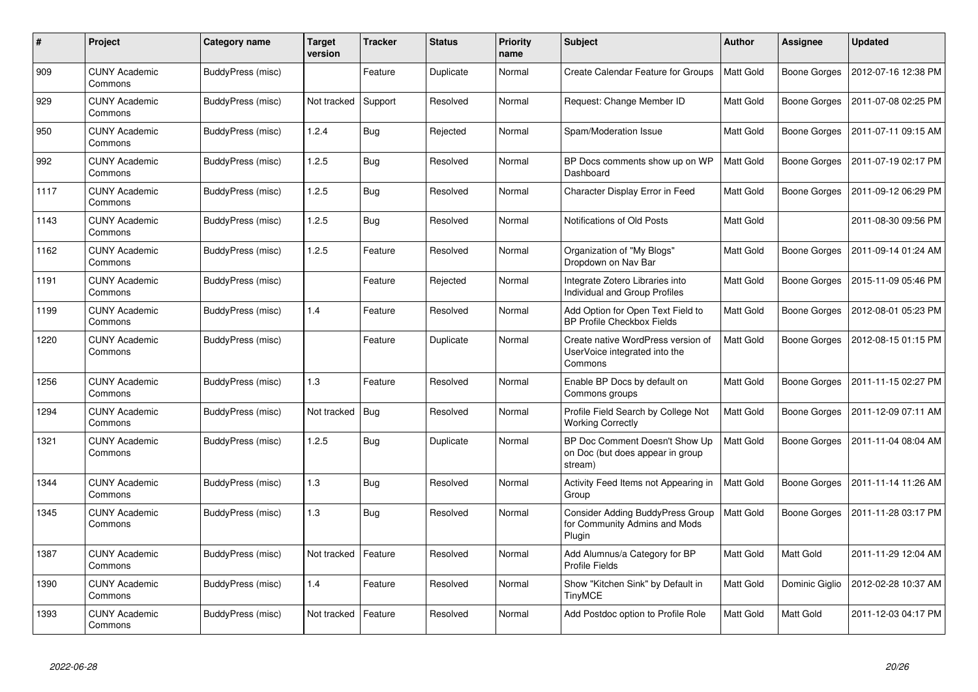| #    | Project                         | <b>Category name</b> | <b>Target</b><br>version | <b>Tracker</b> | <b>Status</b> | <b>Priority</b><br>name | <b>Subject</b>                                                                 | <b>Author</b>    | <b>Assignee</b>     | <b>Updated</b>      |
|------|---------------------------------|----------------------|--------------------------|----------------|---------------|-------------------------|--------------------------------------------------------------------------------|------------------|---------------------|---------------------|
| 909  | <b>CUNY Academic</b><br>Commons | BuddyPress (misc)    |                          | Feature        | Duplicate     | Normal                  | Create Calendar Feature for Groups                                             | <b>Matt Gold</b> | <b>Boone Gorges</b> | 2012-07-16 12:38 PM |
| 929  | <b>CUNY Academic</b><br>Commons | BuddyPress (misc)    | Not tracked              | Support        | Resolved      | Normal                  | Request: Change Member ID                                                      | Matt Gold        | Boone Gorges        | 2011-07-08 02:25 PM |
| 950  | <b>CUNY Academic</b><br>Commons | BuddyPress (misc)    | 1.2.4                    | Bug            | Rejected      | Normal                  | Spam/Moderation Issue                                                          | Matt Gold        | Boone Gorges        | 2011-07-11 09:15 AM |
| 992  | CUNY Academic<br>Commons        | BuddyPress (misc)    | 1.2.5                    | <b>Bug</b>     | Resolved      | Normal                  | BP Docs comments show up on WP<br>Dashboard                                    | <b>Matt Gold</b> | Boone Gorges        | 2011-07-19 02:17 PM |
| 1117 | <b>CUNY Academic</b><br>Commons | BuddyPress (misc)    | 1.2.5                    | <b>Bug</b>     | Resolved      | Normal                  | Character Display Error in Feed                                                | Matt Gold        | Boone Gorges        | 2011-09-12 06:29 PM |
| 1143 | <b>CUNY Academic</b><br>Commons | BuddyPress (misc)    | 1.2.5                    | Bug            | Resolved      | Normal                  | Notifications of Old Posts                                                     | Matt Gold        |                     | 2011-08-30 09:56 PM |
| 1162 | <b>CUNY Academic</b><br>Commons | BuddyPress (misc)    | 1.2.5                    | Feature        | Resolved      | Normal                  | Organization of "My Blogs"<br>Dropdown on Nav Bar                              | Matt Gold        | Boone Gorges        | 2011-09-14 01:24 AM |
| 1191 | <b>CUNY Academic</b><br>Commons | BuddyPress (misc)    |                          | Feature        | Rejected      | Normal                  | Integrate Zotero Libraries into<br>Individual and Group Profiles               | <b>Matt Gold</b> | Boone Gorges        | 2015-11-09 05:46 PM |
| 1199 | <b>CUNY Academic</b><br>Commons | BuddyPress (misc)    | 1.4                      | Feature        | Resolved      | Normal                  | Add Option for Open Text Field to<br><b>BP Profile Checkbox Fields</b>         | Matt Gold        | <b>Boone Gorges</b> | 2012-08-01 05:23 PM |
| 1220 | CUNY Academic<br>Commons        | BuddyPress (misc)    |                          | Feature        | Duplicate     | Normal                  | Create native WordPress version of<br>UserVoice integrated into the<br>Commons | <b>Matt Gold</b> | <b>Boone Gorges</b> | 2012-08-15 01:15 PM |
| 1256 | <b>CUNY Academic</b><br>Commons | BuddyPress (misc)    | 1.3                      | Feature        | Resolved      | Normal                  | Enable BP Docs by default on<br>Commons groups                                 | Matt Gold        | Boone Gorges        | 2011-11-15 02:27 PM |
| 1294 | <b>CUNY Academic</b><br>Commons | BuddyPress (misc)    | Not tracked              | <b>Bug</b>     | Resolved      | Normal                  | Profile Field Search by College Not<br><b>Working Correctly</b>                | Matt Gold        | <b>Boone Gorges</b> | 2011-12-09 07:11 AM |
| 1321 | <b>CUNY Academic</b><br>Commons | BuddyPress (misc)    | 1.2.5                    | Bug            | Duplicate     | Normal                  | BP Doc Comment Doesn't Show Up<br>on Doc (but does appear in group<br>stream)  | Matt Gold        | Boone Gorges        | 2011-11-04 08:04 AM |
| 1344 | <b>CUNY Academic</b><br>Commons | BuddyPress (misc)    | 1.3                      | <b>Bug</b>     | Resolved      | Normal                  | Activity Feed Items not Appearing in<br>Group                                  | Matt Gold        | <b>Boone Gorges</b> | 2011-11-14 11:26 AM |
| 1345 | <b>CUNY Academic</b><br>Commons | BuddyPress (misc)    | 1.3                      | Bug            | Resolved      | Normal                  | Consider Adding BuddyPress Group<br>for Community Admins and Mods<br>Plugin    | <b>Matt Gold</b> | Boone Gorges        | 2011-11-28 03:17 PM |
| 1387 | <b>CUNY Academic</b><br>Commons | BuddyPress (misc)    | Not tracked              | Feature        | Resolved      | Normal                  | Add Alumnus/a Category for BP<br><b>Profile Fields</b>                         | Matt Gold        | Matt Gold           | 2011-11-29 12:04 AM |
| 1390 | <b>CUNY Academic</b><br>Commons | BuddyPress (misc)    | 1.4                      | Feature        | Resolved      | Normal                  | Show "Kitchen Sink" by Default in<br><b>TinyMCE</b>                            | Matt Gold        | Dominic Giglio      | 2012-02-28 10:37 AM |
| 1393 | CUNY Academic<br>Commons        | BuddyPress (misc)    | Not tracked              | Feature        | Resolved      | Normal                  | Add Postdoc option to Profile Role                                             | <b>Matt Gold</b> | Matt Gold           | 2011-12-03 04:17 PM |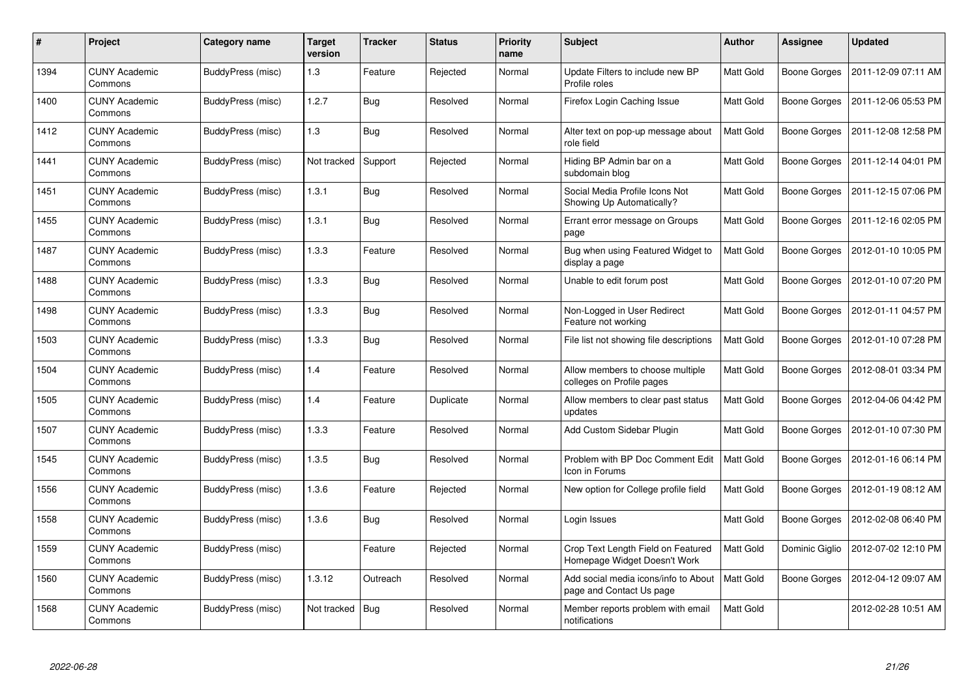| $\#$ | Project                         | <b>Category name</b> | <b>Target</b><br>version | <b>Tracker</b> | <b>Status</b> | <b>Priority</b><br>name | <b>Subject</b>                                                     | <b>Author</b>    | Assignee            | <b>Updated</b>      |
|------|---------------------------------|----------------------|--------------------------|----------------|---------------|-------------------------|--------------------------------------------------------------------|------------------|---------------------|---------------------|
| 1394 | <b>CUNY Academic</b><br>Commons | BuddyPress (misc)    | 1.3                      | Feature        | Rejected      | Normal                  | Update Filters to include new BP<br>Profile roles                  | Matt Gold        | <b>Boone Gorges</b> | 2011-12-09 07:11 AM |
| 1400 | <b>CUNY Academic</b><br>Commons | BuddyPress (misc)    | 1.2.7                    | Bug            | Resolved      | Normal                  | Firefox Login Caching Issue                                        | Matt Gold        | <b>Boone Gorges</b> | 2011-12-06 05:53 PM |
| 1412 | <b>CUNY Academic</b><br>Commons | BuddyPress (misc)    | 1.3                      | <b>Bug</b>     | Resolved      | Normal                  | Alter text on pop-up message about<br>role field                   | Matt Gold        | <b>Boone Gorges</b> | 2011-12-08 12:58 PM |
| 1441 | <b>CUNY Academic</b><br>Commons | BuddyPress (misc)    | Not tracked              | Support        | Rejected      | Normal                  | Hiding BP Admin bar on a<br>subdomain blog                         | Matt Gold        | Boone Gorges        | 2011-12-14 04:01 PM |
| 1451 | <b>CUNY Academic</b><br>Commons | BuddyPress (misc)    | 1.3.1                    | <b>Bug</b>     | Resolved      | Normal                  | Social Media Profile Icons Not<br>Showing Up Automatically?        | Matt Gold        | <b>Boone Gorges</b> | 2011-12-15 07:06 PM |
| 1455 | <b>CUNY Academic</b><br>Commons | BuddyPress (misc)    | 1.3.1                    | Bug            | Resolved      | Normal                  | Errant error message on Groups<br>page                             | Matt Gold        | Boone Gorges        | 2011-12-16 02:05 PM |
| 1487 | <b>CUNY Academic</b><br>Commons | BuddyPress (misc)    | 1.3.3                    | Feature        | Resolved      | Normal                  | Bug when using Featured Widget to<br>display a page                | <b>Matt Gold</b> | <b>Boone Gorges</b> | 2012-01-10 10:05 PM |
| 1488 | <b>CUNY Academic</b><br>Commons | BuddyPress (misc)    | 1.3.3                    | Bug            | Resolved      | Normal                  | Unable to edit forum post                                          | Matt Gold        | Boone Gorges        | 2012-01-10 07:20 PM |
| 1498 | <b>CUNY Academic</b><br>Commons | BuddyPress (misc)    | 1.3.3                    | <b>Bug</b>     | Resolved      | Normal                  | Non-Logged in User Redirect<br>Feature not working                 | Matt Gold        | <b>Boone Gorges</b> | 2012-01-11 04:57 PM |
| 1503 | <b>CUNY Academic</b><br>Commons | BuddyPress (misc)    | 1.3.3                    | Bug            | Resolved      | Normal                  | File list not showing file descriptions                            | <b>Matt Gold</b> | <b>Boone Gorges</b> | 2012-01-10 07:28 PM |
| 1504 | <b>CUNY Academic</b><br>Commons | BuddyPress (misc)    | 1.4                      | Feature        | Resolved      | Normal                  | Allow members to choose multiple<br>colleges on Profile pages      | Matt Gold        | Boone Gorges        | 2012-08-01 03:34 PM |
| 1505 | <b>CUNY Academic</b><br>Commons | BuddyPress (misc)    | 1.4                      | Feature        | Duplicate     | Normal                  | Allow members to clear past status<br>updates                      | Matt Gold        | Boone Gorges        | 2012-04-06 04:42 PM |
| 1507 | <b>CUNY Academic</b><br>Commons | BuddyPress (misc)    | 1.3.3                    | Feature        | Resolved      | Normal                  | Add Custom Sidebar Plugin                                          | <b>Matt Gold</b> | <b>Boone Gorges</b> | 2012-01-10 07:30 PM |
| 1545 | <b>CUNY Academic</b><br>Commons | BuddyPress (misc)    | 1.3.5                    | <b>Bug</b>     | Resolved      | Normal                  | Problem with BP Doc Comment Edit<br>Icon in Forums                 | <b>Matt Gold</b> | <b>Boone Gorges</b> | 2012-01-16 06:14 PM |
| 1556 | <b>CUNY Academic</b><br>Commons | BuddyPress (misc)    | 1.3.6                    | Feature        | Rejected      | Normal                  | New option for College profile field                               | Matt Gold        | Boone Gorges        | 2012-01-19 08:12 AM |
| 1558 | <b>CUNY Academic</b><br>Commons | BuddyPress (misc)    | 1.3.6                    | <b>Bug</b>     | Resolved      | Normal                  | Login Issues                                                       | Matt Gold        | Boone Gorges        | 2012-02-08 06:40 PM |
| 1559 | <b>CUNY Academic</b><br>Commons | BuddyPress (misc)    |                          | Feature        | Rejected      | Normal                  | Crop Text Length Field on Featured<br>Homepage Widget Doesn't Work | Matt Gold        | Dominic Giglio      | 2012-07-02 12:10 PM |
| 1560 | <b>CUNY Academic</b><br>Commons | BuddyPress (misc)    | 1.3.12                   | Outreach       | Resolved      | Normal                  | Add social media icons/info to About<br>page and Contact Us page   | Matt Gold        | <b>Boone Gorges</b> | 2012-04-12 09:07 AM |
| 1568 | <b>CUNY Academic</b><br>Commons | BuddyPress (misc)    | Not tracked              | Bug            | Resolved      | Normal                  | Member reports problem with email<br>notifications                 | Matt Gold        |                     | 2012-02-28 10:51 AM |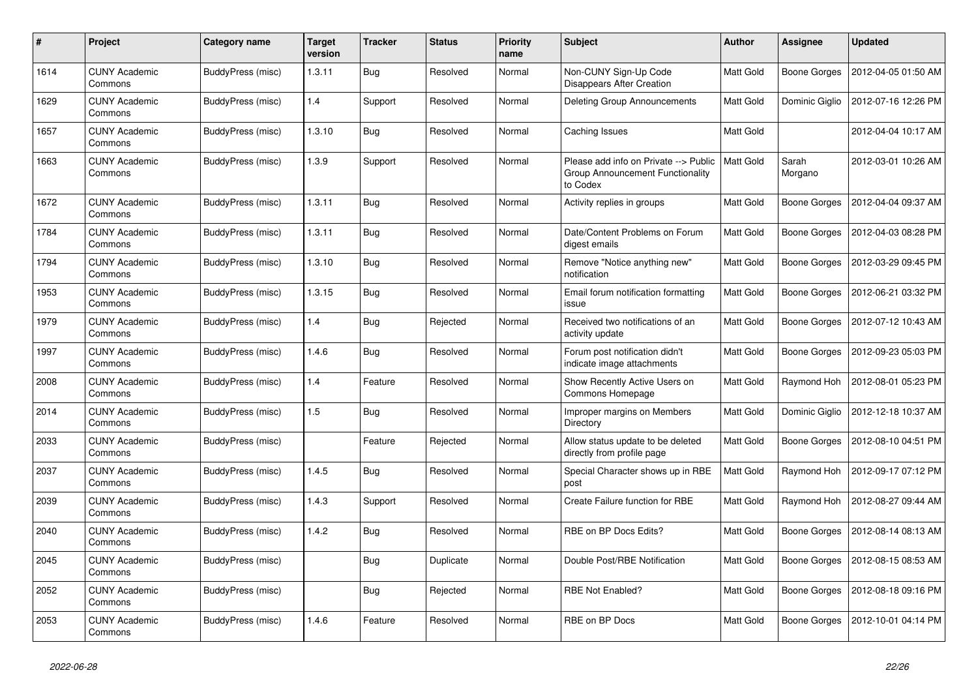| #    | Project                         | Category name     | Target<br>version | <b>Tracker</b> | <b>Status</b> | <b>Priority</b><br>name | Subject                                                                               | <b>Author</b>    | Assignee            | Updated             |
|------|---------------------------------|-------------------|-------------------|----------------|---------------|-------------------------|---------------------------------------------------------------------------------------|------------------|---------------------|---------------------|
| 1614 | <b>CUNY Academic</b><br>Commons | BuddyPress (misc) | 1.3.11            | <b>Bug</b>     | Resolved      | Normal                  | Non-CUNY Sign-Up Code<br>Disappears After Creation                                    | Matt Gold        | Boone Gorges        | 2012-04-05 01:50 AM |
| 1629 | <b>CUNY Academic</b><br>Commons | BuddyPress (misc) | 1.4               | Support        | Resolved      | Normal                  | Deleting Group Announcements                                                          | Matt Gold        | Dominic Giglio      | 2012-07-16 12:26 PM |
| 1657 | <b>CUNY Academic</b><br>Commons | BuddyPress (misc) | 1.3.10            | Bug            | Resolved      | Normal                  | Caching Issues                                                                        | Matt Gold        |                     | 2012-04-04 10:17 AM |
| 1663 | <b>CUNY Academic</b><br>Commons | BuddyPress (misc) | 1.3.9             | Support        | Resolved      | Normal                  | Please add info on Private --> Public<br>Group Announcement Functionality<br>to Codex | <b>Matt Gold</b> | Sarah<br>Morgano    | 2012-03-01 10:26 AM |
| 1672 | <b>CUNY Academic</b><br>Commons | BuddyPress (misc) | 1.3.11            | Bug            | Resolved      | Normal                  | Activity replies in groups                                                            | Matt Gold        | Boone Gorges        | 2012-04-04 09:37 AM |
| 1784 | <b>CUNY Academic</b><br>Commons | BuddyPress (misc) | 1.3.11            | Bug            | Resolved      | Normal                  | Date/Content Problems on Forum<br>digest emails                                       | Matt Gold        | Boone Gorges        | 2012-04-03 08:28 PM |
| 1794 | <b>CUNY Academic</b><br>Commons | BuddyPress (misc) | 1.3.10            | Bug            | Resolved      | Normal                  | Remove "Notice anything new"<br>notification                                          | Matt Gold        | <b>Boone Gorges</b> | 2012-03-29 09:45 PM |
| 1953 | <b>CUNY Academic</b><br>Commons | BuddyPress (misc) | 1.3.15            | <b>Bug</b>     | Resolved      | Normal                  | Email forum notification formatting<br>issue                                          | Matt Gold        | Boone Gorges        | 2012-06-21 03:32 PM |
| 1979 | <b>CUNY Academic</b><br>Commons | BuddyPress (misc) | 1.4               | <b>Bug</b>     | Rejected      | Normal                  | Received two notifications of an<br>activity update                                   | Matt Gold        | <b>Boone Gorges</b> | 2012-07-12 10:43 AM |
| 1997 | <b>CUNY Academic</b><br>Commons | BuddyPress (misc) | 1.4.6             | Bug            | Resolved      | Normal                  | Forum post notification didn't<br>indicate image attachments                          | Matt Gold        | <b>Boone Gorges</b> | 2012-09-23 05:03 PM |
| 2008 | <b>CUNY Academic</b><br>Commons | BuddyPress (misc) | 1.4               | Feature        | Resolved      | Normal                  | Show Recently Active Users on<br>Commons Homepage                                     | Matt Gold        | Raymond Hoh         | 2012-08-01 05:23 PM |
| 2014 | <b>CUNY Academic</b><br>Commons | BuddyPress (misc) | 1.5               | <b>Bug</b>     | Resolved      | Normal                  | Improper margins on Members<br>Directory                                              | Matt Gold        | Dominic Giglio      | 2012-12-18 10:37 AM |
| 2033 | <b>CUNY Academic</b><br>Commons | BuddyPress (misc) |                   | Feature        | Rejected      | Normal                  | Allow status update to be deleted<br>directly from profile page                       | Matt Gold        | Boone Gorges        | 2012-08-10 04:51 PM |
| 2037 | CUNY Academic<br>Commons        | BuddyPress (misc) | 1.4.5             | <b>Bug</b>     | Resolved      | Normal                  | Special Character shows up in RBE<br>post                                             | Matt Gold        | Raymond Hoh         | 2012-09-17 07:12 PM |
| 2039 | <b>CUNY Academic</b><br>Commons | BuddyPress (misc) | 1.4.3             | Support        | Resolved      | Normal                  | Create Failure function for RBE                                                       | Matt Gold        | Raymond Hoh         | 2012-08-27 09:44 AM |
| 2040 | <b>CUNY Academic</b><br>Commons | BuddyPress (misc) | 1.4.2             | <b>Bug</b>     | Resolved      | Normal                  | RBE on BP Docs Edits?                                                                 | Matt Gold        | Boone Gorges        | 2012-08-14 08:13 AM |
| 2045 | <b>CUNY Academic</b><br>Commons | BuddyPress (misc) |                   | Bug            | Duplicate     | Normal                  | Double Post/RBE Notification                                                          | Matt Gold        | Boone Gorges        | 2012-08-15 08:53 AM |
| 2052 | <b>CUNY Academic</b><br>Commons | BuddyPress (misc) |                   | <b>Bug</b>     | Rejected      | Normal                  | <b>RBE Not Enabled?</b>                                                               | Matt Gold        | Boone Gorges        | 2012-08-18 09:16 PM |
| 2053 | <b>CUNY Academic</b><br>Commons | BuddyPress (misc) | 1.4.6             | Feature        | Resolved      | Normal                  | RBE on BP Docs                                                                        | Matt Gold        | <b>Boone Gorges</b> | 2012-10-01 04:14 PM |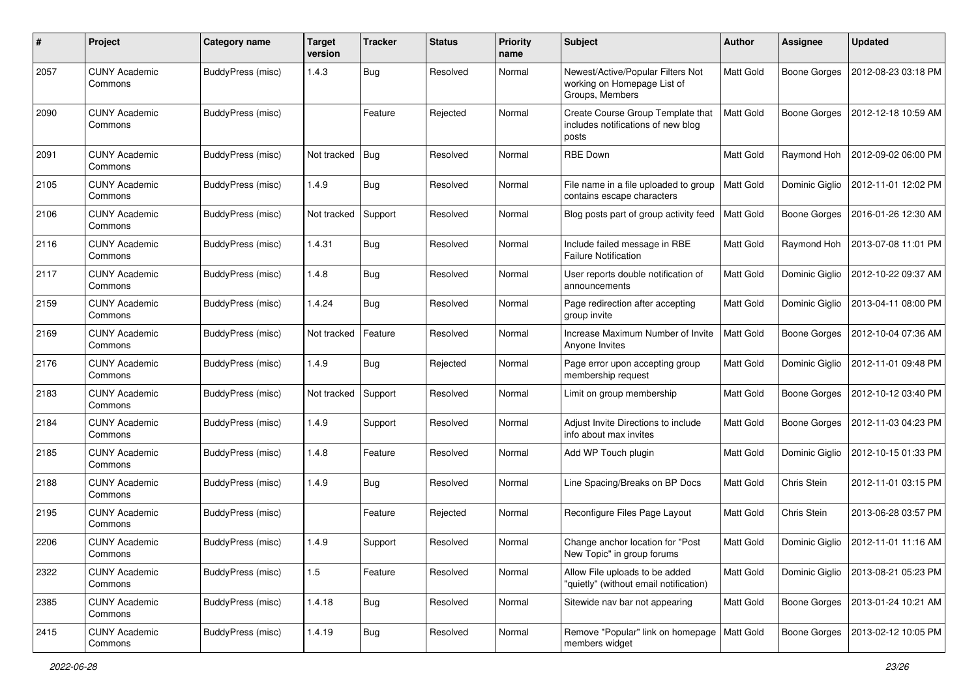| $\#$ | Project                         | Category name     | <b>Target</b><br>version | <b>Tracker</b> | <b>Status</b> | <b>Priority</b><br>name | <b>Subject</b>                                                                      | Author           | Assignee            | <b>Updated</b>      |
|------|---------------------------------|-------------------|--------------------------|----------------|---------------|-------------------------|-------------------------------------------------------------------------------------|------------------|---------------------|---------------------|
| 2057 | <b>CUNY Academic</b><br>Commons | BuddyPress (misc) | 1.4.3                    | Bug            | Resolved      | Normal                  | Newest/Active/Popular Filters Not<br>working on Homepage List of<br>Groups, Members | Matt Gold        | <b>Boone Gorges</b> | 2012-08-23 03:18 PM |
| 2090 | <b>CUNY Academic</b><br>Commons | BuddyPress (misc) |                          | Feature        | Rejected      | Normal                  | Create Course Group Template that<br>includes notifications of new blog<br>posts    | Matt Gold        | <b>Boone Gorges</b> | 2012-12-18 10:59 AM |
| 2091 | <b>CUNY Academic</b><br>Commons | BuddyPress (misc) | Not tracked              | Bug            | Resolved      | Normal                  | <b>RBE Down</b>                                                                     | Matt Gold        | Raymond Hoh         | 2012-09-02 06:00 PM |
| 2105 | <b>CUNY Academic</b><br>Commons | BuddyPress (misc) | 1.4.9                    | <b>Bug</b>     | Resolved      | Normal                  | File name in a file uploaded to group<br>contains escape characters                 | <b>Matt Gold</b> | Dominic Giglio      | 2012-11-01 12:02 PM |
| 2106 | <b>CUNY Academic</b><br>Commons | BuddyPress (misc) | Not tracked              | Support        | Resolved      | Normal                  | Blog posts part of group activity feed                                              | Matt Gold        | <b>Boone Gorges</b> | 2016-01-26 12:30 AM |
| 2116 | <b>CUNY Academic</b><br>Commons | BuddyPress (misc) | 1.4.31                   | <b>Bug</b>     | Resolved      | Normal                  | Include failed message in RBE<br><b>Failure Notification</b>                        | Matt Gold        | Raymond Hoh         | 2013-07-08 11:01 PM |
| 2117 | <b>CUNY Academic</b><br>Commons | BuddyPress (misc) | 1.4.8                    | <b>Bug</b>     | Resolved      | Normal                  | User reports double notification of<br>announcements                                | Matt Gold        | Dominic Giglio      | 2012-10-22 09:37 AM |
| 2159 | <b>CUNY Academic</b><br>Commons | BuddyPress (misc) | 1.4.24                   | <b>Bug</b>     | Resolved      | Normal                  | Page redirection after accepting<br>group invite                                    | Matt Gold        | Dominic Giglio      | 2013-04-11 08:00 PM |
| 2169 | <b>CUNY Academic</b><br>Commons | BuddyPress (misc) | Not tracked              | Feature        | Resolved      | Normal                  | Increase Maximum Number of Invite<br>Anyone Invites                                 | <b>Matt Gold</b> | <b>Boone Gorges</b> | 2012-10-04 07:36 AM |
| 2176 | <b>CUNY Academic</b><br>Commons | BuddyPress (misc) | 1.4.9                    | Bug            | Rejected      | Normal                  | Page error upon accepting group<br>membership request                               | Matt Gold        | Dominic Giglio      | 2012-11-01 09:48 PM |
| 2183 | <b>CUNY Academic</b><br>Commons | BuddyPress (misc) | Not tracked              | Support        | Resolved      | Normal                  | Limit on group membership                                                           | Matt Gold        | <b>Boone Gorges</b> | 2012-10-12 03:40 PM |
| 2184 | <b>CUNY Academic</b><br>Commons | BuddyPress (misc) | 1.4.9                    | Support        | Resolved      | Normal                  | Adjust Invite Directions to include<br>info about max invites                       | Matt Gold        | <b>Boone Gorges</b> | 2012-11-03 04:23 PM |
| 2185 | <b>CUNY Academic</b><br>Commons | BuddyPress (misc) | 1.4.8                    | Feature        | Resolved      | Normal                  | Add WP Touch plugin                                                                 | <b>Matt Gold</b> | Dominic Giglio      | 2012-10-15 01:33 PM |
| 2188 | <b>CUNY Academic</b><br>Commons | BuddyPress (misc) | 1.4.9                    | Bug            | Resolved      | Normal                  | Line Spacing/Breaks on BP Docs                                                      | Matt Gold        | Chris Stein         | 2012-11-01 03:15 PM |
| 2195 | <b>CUNY Academic</b><br>Commons | BuddyPress (misc) |                          | Feature        | Rejected      | Normal                  | Reconfigure Files Page Layout                                                       | Matt Gold        | Chris Stein         | 2013-06-28 03:57 PM |
| 2206 | <b>CUNY Academic</b><br>Commons | BuddyPress (misc) | 1.4.9                    | Support        | Resolved      | Normal                  | Change anchor location for "Post<br>New Topic" in group forums                      | Matt Gold        | Dominic Giglio      | 2012-11-01 11:16 AM |
| 2322 | <b>CUNY Academic</b><br>Commons | BuddyPress (misc) | $1.5\,$                  | Feature        | Resolved      | Normal                  | Allow File uploads to be added<br>"quietly" (without email notification)            | Matt Gold        | Dominic Giglio      | 2013-08-21 05:23 PM |
| 2385 | <b>CUNY Academic</b><br>Commons | BuddyPress (misc) | 1.4.18                   | <b>Bug</b>     | Resolved      | Normal                  | Sitewide nav bar not appearing                                                      | Matt Gold        | <b>Boone Gorges</b> | 2013-01-24 10:21 AM |
| 2415 | <b>CUNY Academic</b><br>Commons | BuddyPress (misc) | 1.4.19                   | <b>Bug</b>     | Resolved      | Normal                  | Remove "Popular" link on homepage<br>members widget                                 | Matt Gold        | Boone Gorges        | 2013-02-12 10:05 PM |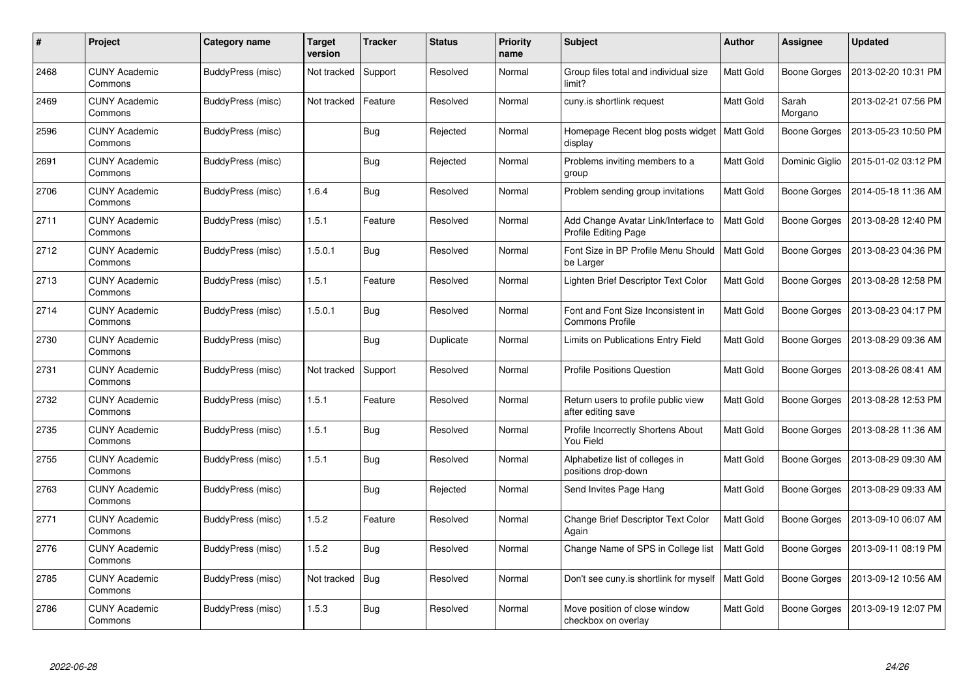| #    | Project                         | Category name     | Target<br>version | <b>Tracker</b> | <b>Status</b> | <b>Priority</b><br>name | <b>Subject</b>                                               | <b>Author</b>    | <b>Assignee</b>     | <b>Updated</b>      |
|------|---------------------------------|-------------------|-------------------|----------------|---------------|-------------------------|--------------------------------------------------------------|------------------|---------------------|---------------------|
| 2468 | <b>CUNY Academic</b><br>Commons | BuddyPress (misc) | Not tracked       | Support        | Resolved      | Normal                  | Group files total and individual size<br>limit?              | Matt Gold        | <b>Boone Gorges</b> | 2013-02-20 10:31 PM |
| 2469 | <b>CUNY Academic</b><br>Commons | BuddyPress (misc) | Not tracked       | Feature        | Resolved      | Normal                  | cuny.is shortlink request                                    | Matt Gold        | Sarah<br>Morgano    | 2013-02-21 07:56 PM |
| 2596 | <b>CUNY Academic</b><br>Commons | BuddyPress (misc) |                   | <b>Bug</b>     | Rejected      | Normal                  | Homepage Recent blog posts widget<br>display                 | <b>Matt Gold</b> | <b>Boone Gorges</b> | 2013-05-23 10:50 PM |
| 2691 | <b>CUNY Academic</b><br>Commons | BuddyPress (misc) |                   | <b>Bug</b>     | Rejected      | Normal                  | Problems inviting members to a<br>group                      | Matt Gold        | Dominic Giglio      | 2015-01-02 03:12 PM |
| 2706 | <b>CUNY Academic</b><br>Commons | BuddyPress (misc) | 1.6.4             | <b>Bug</b>     | Resolved      | Normal                  | Problem sending group invitations                            | Matt Gold        | <b>Boone Gorges</b> | 2014-05-18 11:36 AM |
| 2711 | <b>CUNY Academic</b><br>Commons | BuddyPress (misc) | 1.5.1             | Feature        | Resolved      | Normal                  | Add Change Avatar Link/Interface to<br>Profile Editing Page  | Matt Gold        | <b>Boone Gorges</b> | 2013-08-28 12:40 PM |
| 2712 | <b>CUNY Academic</b><br>Commons | BuddyPress (misc) | 1.5.0.1           | Bug            | Resolved      | Normal                  | Font Size in BP Profile Menu Should<br>be Larger             | Matt Gold        | Boone Gorges        | 2013-08-23 04:36 PM |
| 2713 | <b>CUNY Academic</b><br>Commons | BuddyPress (misc) | 1.5.1             | Feature        | Resolved      | Normal                  | Lighten Brief Descriptor Text Color                          | Matt Gold        | Boone Gorges        | 2013-08-28 12:58 PM |
| 2714 | <b>CUNY Academic</b><br>Commons | BuddyPress (misc) | 1.5.0.1           | <b>Bug</b>     | Resolved      | Normal                  | Font and Font Size Inconsistent in<br><b>Commons Profile</b> | Matt Gold        | <b>Boone Gorges</b> | 2013-08-23 04:17 PM |
| 2730 | <b>CUNY Academic</b><br>Commons | BuddyPress (misc) |                   | Bug            | Duplicate     | Normal                  | Limits on Publications Entry Field                           | Matt Gold        | Boone Gorges        | 2013-08-29 09:36 AM |
| 2731 | <b>CUNY Academic</b><br>Commons | BuddyPress (misc) | Not tracked       | Support        | Resolved      | Normal                  | <b>Profile Positions Question</b>                            | Matt Gold        | Boone Gorges        | 2013-08-26 08:41 AM |
| 2732 | <b>CUNY Academic</b><br>Commons | BuddyPress (misc) | 1.5.1             | Feature        | Resolved      | Normal                  | Return users to profile public view<br>after editing save    | Matt Gold        | Boone Gorges        | 2013-08-28 12:53 PM |
| 2735 | <b>CUNY Academic</b><br>Commons | BuddyPress (misc) | 1.5.1             | <b>Bug</b>     | Resolved      | Normal                  | Profile Incorrectly Shortens About<br>You Field              | Matt Gold        | Boone Gorges        | 2013-08-28 11:36 AM |
| 2755 | <b>CUNY Academic</b><br>Commons | BuddyPress (misc) | 1.5.1             | Bug            | Resolved      | Normal                  | Alphabetize list of colleges in<br>positions drop-down       | Matt Gold        | <b>Boone Gorges</b> | 2013-08-29 09:30 AM |
| 2763 | <b>CUNY Academic</b><br>Commons | BuddyPress (misc) |                   | <b>Bug</b>     | Rejected      | Normal                  | Send Invites Page Hang                                       | Matt Gold        | Boone Gorges        | 2013-08-29 09:33 AM |
| 2771 | <b>CUNY Academic</b><br>Commons | BuddyPress (misc) | 1.5.2             | Feature        | Resolved      | Normal                  | Change Brief Descriptor Text Color<br>Again                  | Matt Gold        | <b>Boone Gorges</b> | 2013-09-10 06:07 AM |
| 2776 | <b>CUNY Academic</b><br>Commons | BuddyPress (misc) | 1.5.2             | Bug            | Resolved      | Normal                  | Change Name of SPS in College list                           | Matt Gold        | Boone Gorges        | 2013-09-11 08:19 PM |
| 2785 | <b>CUNY Academic</b><br>Commons | BuddyPress (misc) | Not tracked       | <b>Bug</b>     | Resolved      | Normal                  | Don't see cuny is shortlink for myself                       | Matt Gold        | Boone Gorges        | 2013-09-12 10:56 AM |
| 2786 | CUNY Academic<br>Commons        | BuddyPress (misc) | 1.5.3             | <b>Bug</b>     | Resolved      | Normal                  | Move position of close window<br>checkbox on overlay         | Matt Gold        | Boone Gorges        | 2013-09-19 12:07 PM |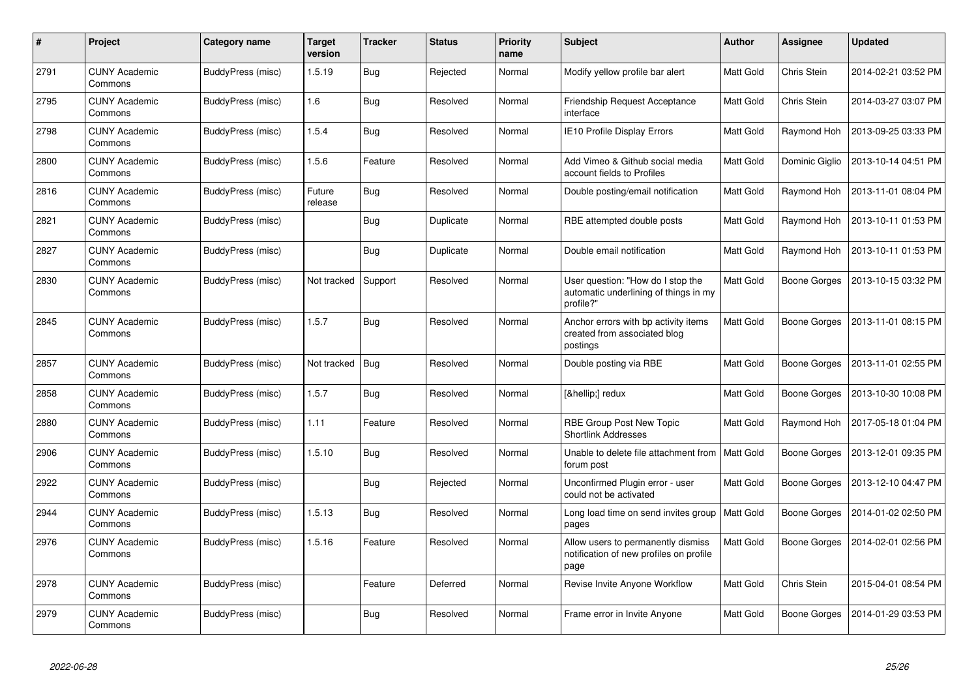| #    | Project                         | Category name     | <b>Target</b><br>version | <b>Tracker</b> | <b>Status</b> | <b>Priority</b><br>name | <b>Subject</b>                                                                          | <b>Author</b>    | Assignee            | <b>Updated</b>      |
|------|---------------------------------|-------------------|--------------------------|----------------|---------------|-------------------------|-----------------------------------------------------------------------------------------|------------------|---------------------|---------------------|
| 2791 | <b>CUNY Academic</b><br>Commons | BuddyPress (misc) | 1.5.19                   | <b>Bug</b>     | Rejected      | Normal                  | Modify yellow profile bar alert                                                         | Matt Gold        | Chris Stein         | 2014-02-21 03:52 PM |
| 2795 | <b>CUNY Academic</b><br>Commons | BuddyPress (misc) | 1.6                      | <b>Bug</b>     | Resolved      | Normal                  | Friendship Request Acceptance<br>interface                                              | Matt Gold        | Chris Stein         | 2014-03-27 03:07 PM |
| 2798 | <b>CUNY Academic</b><br>Commons | BuddyPress (misc) | 1.5.4                    | Bug            | Resolved      | Normal                  | <b>IE10 Profile Display Errors</b>                                                      | Matt Gold        | Raymond Hoh         | 2013-09-25 03:33 PM |
| 2800 | CUNY Academic<br>Commons        | BuddyPress (misc) | 1.5.6                    | Feature        | Resolved      | Normal                  | Add Vimeo & Github social media<br>account fields to Profiles                           | Matt Gold        | Dominic Giglio      | 2013-10-14 04:51 PM |
| 2816 | <b>CUNY Academic</b><br>Commons | BuddyPress (misc) | Future<br>release        | <b>Bug</b>     | Resolved      | Normal                  | Double posting/email notification                                                       | Matt Gold        | Raymond Hoh         | 2013-11-01 08:04 PM |
| 2821 | <b>CUNY Academic</b><br>Commons | BuddyPress (misc) |                          | <b>Bug</b>     | Duplicate     | Normal                  | RBE attempted double posts                                                              | Matt Gold        | Raymond Hoh         | 2013-10-11 01:53 PM |
| 2827 | <b>CUNY Academic</b><br>Commons | BuddyPress (misc) |                          | <b>Bug</b>     | Duplicate     | Normal                  | Double email notification                                                               | Matt Gold        | Raymond Hoh         | 2013-10-11 01:53 PM |
| 2830 | <b>CUNY Academic</b><br>Commons | BuddyPress (misc) | Not tracked              | Support        | Resolved      | Normal                  | User question: "How do I stop the<br>automatic underlining of things in my<br>profile?" | Matt Gold        | Boone Gorges        | 2013-10-15 03:32 PM |
| 2845 | <b>CUNY Academic</b><br>Commons | BuddyPress (misc) | 1.5.7                    | Bug            | Resolved      | Normal                  | Anchor errors with bp activity items<br>created from associated blog<br>postings        | Matt Gold        | <b>Boone Gorges</b> | 2013-11-01 08:15 PM |
| 2857 | CUNY Academic<br>Commons        | BuddyPress (misc) | Not tracked              | <b>Bug</b>     | Resolved      | Normal                  | Double posting via RBE                                                                  | Matt Gold        | Boone Gorges        | 2013-11-01 02:55 PM |
| 2858 | <b>CUNY Academic</b><br>Commons | BuddyPress (misc) | 1.5.7                    | Bug            | Resolved      | Normal                  | […] redux                                                                               | Matt Gold        | Boone Gorges        | 2013-10-30 10:08 PM |
| 2880 | <b>CUNY Academic</b><br>Commons | BuddyPress (misc) | 1.11                     | Feature        | Resolved      | Normal                  | RBE Group Post New Topic<br><b>Shortlink Addresses</b>                                  | Matt Gold        | Raymond Hoh         | 2017-05-18 01:04 PM |
| 2906 | <b>CUNY Academic</b><br>Commons | BuddyPress (misc) | 1.5.10                   | <b>Bug</b>     | Resolved      | Normal                  | Unable to delete file attachment from<br>forum post                                     | <b>Matt Gold</b> | <b>Boone Gorges</b> | 2013-12-01 09:35 PM |
| 2922 | CUNY Academic<br>Commons        | BuddyPress (misc) |                          | <b>Bug</b>     | Rejected      | Normal                  | Unconfirmed Plugin error - user<br>could not be activated                               | Matt Gold        | <b>Boone Gorges</b> | 2013-12-10 04:47 PM |
| 2944 | <b>CUNY Academic</b><br>Commons | BuddyPress (misc) | 1.5.13                   | <b>Bug</b>     | Resolved      | Normal                  | Long load time on send invites group<br>pages                                           | <b>Matt Gold</b> | <b>Boone Gorges</b> | 2014-01-02 02:50 PM |
| 2976 | <b>CUNY Academic</b><br>Commons | BuddyPress (misc) | 1.5.16                   | Feature        | Resolved      | Normal                  | Allow users to permanently dismiss<br>notification of new profiles on profile<br>page   | Matt Gold        | <b>Boone Gorges</b> | 2014-02-01 02:56 PM |
| 2978 | <b>CUNY Academic</b><br>Commons | BuddyPress (misc) |                          | Feature        | Deferred      | Normal                  | Revise Invite Anyone Workflow                                                           | Matt Gold        | Chris Stein         | 2015-04-01 08:54 PM |
| 2979 | CUNY Academic<br>Commons        | BuddyPress (misc) |                          | <b>Bug</b>     | Resolved      | Normal                  | Frame error in Invite Anyone                                                            | <b>Matt Gold</b> | Boone Gorges        | 2014-01-29 03:53 PM |